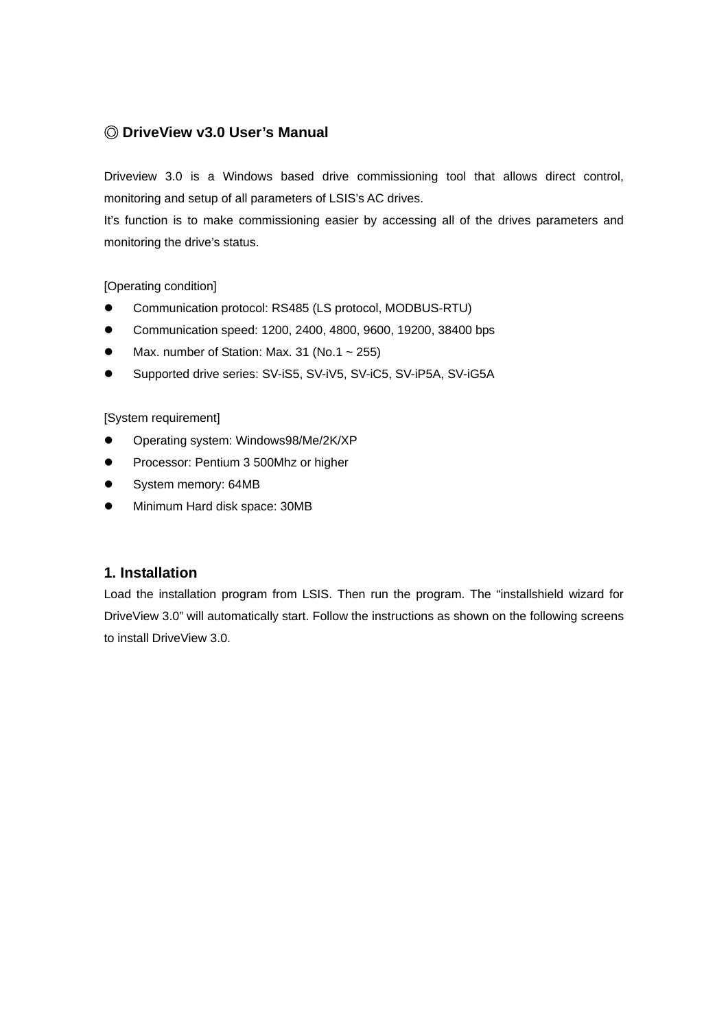# ◎ **DriveView v3.0 User's Manual**

Driveview 3.0 is a Windows based drive commissioning tool that allows direct control, monitoring and setup of all parameters of LSIS's AC drives.

It's function is to make commissioning easier by accessing all of the drives parameters and monitoring the drive's status.

## [Operating condition]

- Communication protocol: RS485 (LS protocol, MODBUS-RTU)
- **•** Communication speed: 1200, 2400, 4800, 9600, 19200, 38400 bps
- Max. number of Station: Max. 31 (No.1  $\sim$  255)
- Supported drive series: SV-iS5, SV-iV5, SV-iC5, SV-iP5A, SV-iG5A

#### [System requirement]

- Operating system: Windows98/Me/2K/XP
- **•** Processor: Pentium 3 500Mhz or higher
- System memory: 64MB
- Minimum Hard disk space: 30MB

# **1. Installation**

Load the installation program from LSIS. Then run the program. The "installshield wizard for DriveView 3.0" will automatically start. Follow the instructions as shown on the following screens to install DriveView 3.0.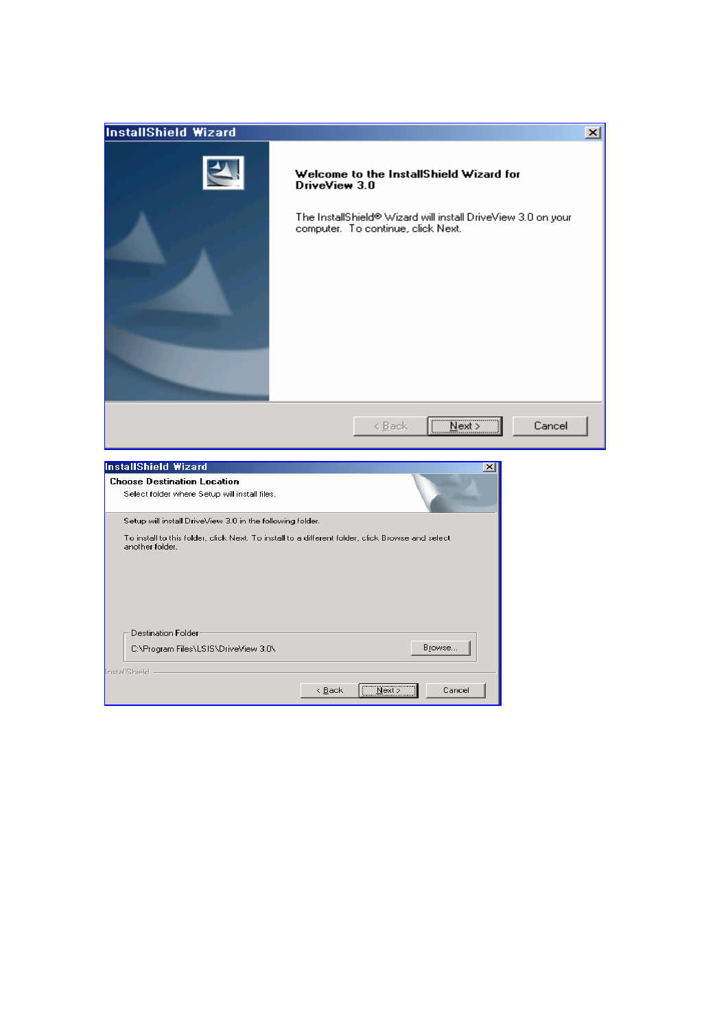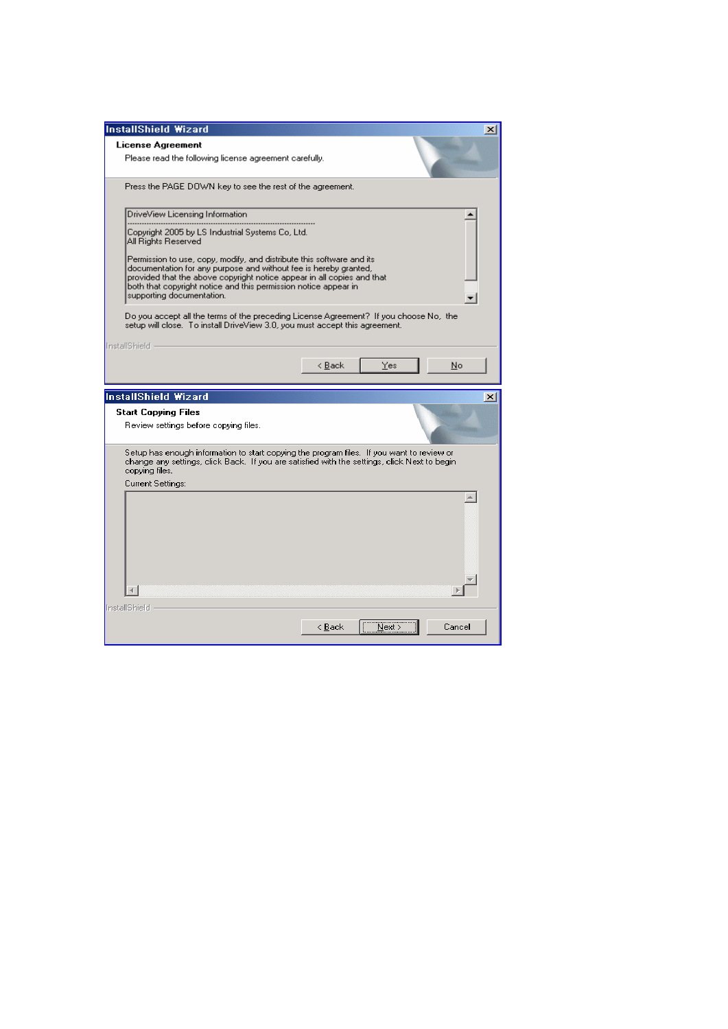| <b>InstallShield Wizard</b>                                                                                                                                                                                                                                                                                                                                                                                                                                                                                                                                                                                                 |                             | $\times$ |
|-----------------------------------------------------------------------------------------------------------------------------------------------------------------------------------------------------------------------------------------------------------------------------------------------------------------------------------------------------------------------------------------------------------------------------------------------------------------------------------------------------------------------------------------------------------------------------------------------------------------------------|-----------------------------|----------|
| <b>License Agreement</b>                                                                                                                                                                                                                                                                                                                                                                                                                                                                                                                                                                                                    |                             |          |
| Please read the following license agreement carefully.                                                                                                                                                                                                                                                                                                                                                                                                                                                                                                                                                                      |                             |          |
| Press the PAGE DOWN key to see the rest of the agreement.                                                                                                                                                                                                                                                                                                                                                                                                                                                                                                                                                                   |                             |          |
| DriveView Licensing Information<br>Copyright 2005 by LS Industrial Systems Co, Ltd.<br>All Rights Reserved<br>Permission to use, copy, modify, and distribute this software and its.<br>documentation for any purpose and without fee is hereby granted,<br>provided that the above copyright notice appear in all copies and that<br>both that copyright notice and this permission notice appear in<br>supporting documentation.<br>Do you accept all the terms of the preceding License Agreement? If you choose No, the<br>setup will close. To install DriveView 3.0, you must accept this agreement.<br>InstallShield |                             |          |
|                                                                                                                                                                                                                                                                                                                                                                                                                                                                                                                                                                                                                             | < <u>B</u> ack<br>Yes<br>No |          |
|                                                                                                                                                                                                                                                                                                                                                                                                                                                                                                                                                                                                                             |                             |          |
| <b>InstallShield Wizard</b>                                                                                                                                                                                                                                                                                                                                                                                                                                                                                                                                                                                                 |                             |          |
| <b>Start Copying Files</b><br>Review settings before copying files.                                                                                                                                                                                                                                                                                                                                                                                                                                                                                                                                                         |                             |          |
| Setup has enough information to start copying the program files. If you want to review or<br>change any settings, click Back. If you are satisfied with the settings, click Next to begin.<br>copying files.                                                                                                                                                                                                                                                                                                                                                                                                                |                             | $\times$ |
| Current Settings:<br>InstallShield                                                                                                                                                                                                                                                                                                                                                                                                                                                                                                                                                                                          |                             |          |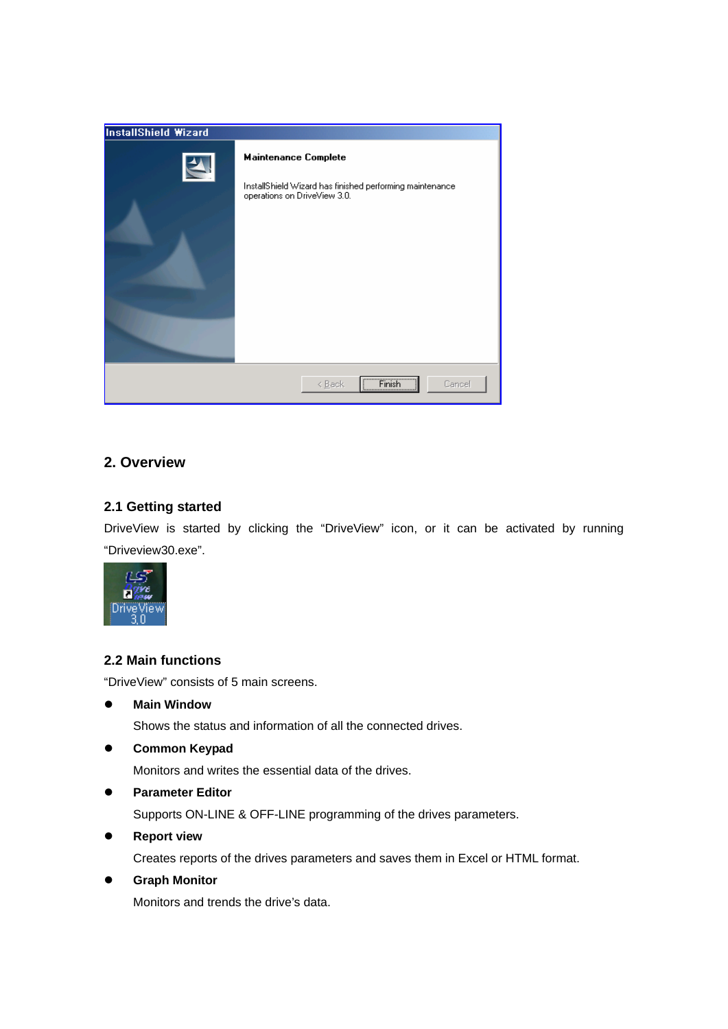| <b>InstallShield Wizard</b> |                                                                                                                         |
|-----------------------------|-------------------------------------------------------------------------------------------------------------------------|
| $\blacktriangle$            | <b>Maintenance Complete</b><br>InstallShield Wizard has finished performing maintenance<br>operations on DriveView 3.0. |
|                             | $F_{\text{Inish}}$<br>< <u>B</u> ack<br>Cancel<br><u>  Firman</u>                                                       |

# **2. Overview**

# **2.1 Getting started**

DriveView is started by clicking the "DriveView" icon, or it can be activated by running "Driveview30.exe".



# **2.2 Main functions**

"DriveView" consists of 5 main screens.

**Main Window** 

Shows the status and information of all the connected drives.

**•** Common Keypad

Monitors and writes the essential data of the drives.

**•** Parameter Editor

Supports ON-LINE & OFF-LINE programming of the drives parameters.

**•** Report view

Creates reports of the drives parameters and saves them in Excel or HTML format.

 $\bullet$  Graph Monitor Monitors and trends the drive's data.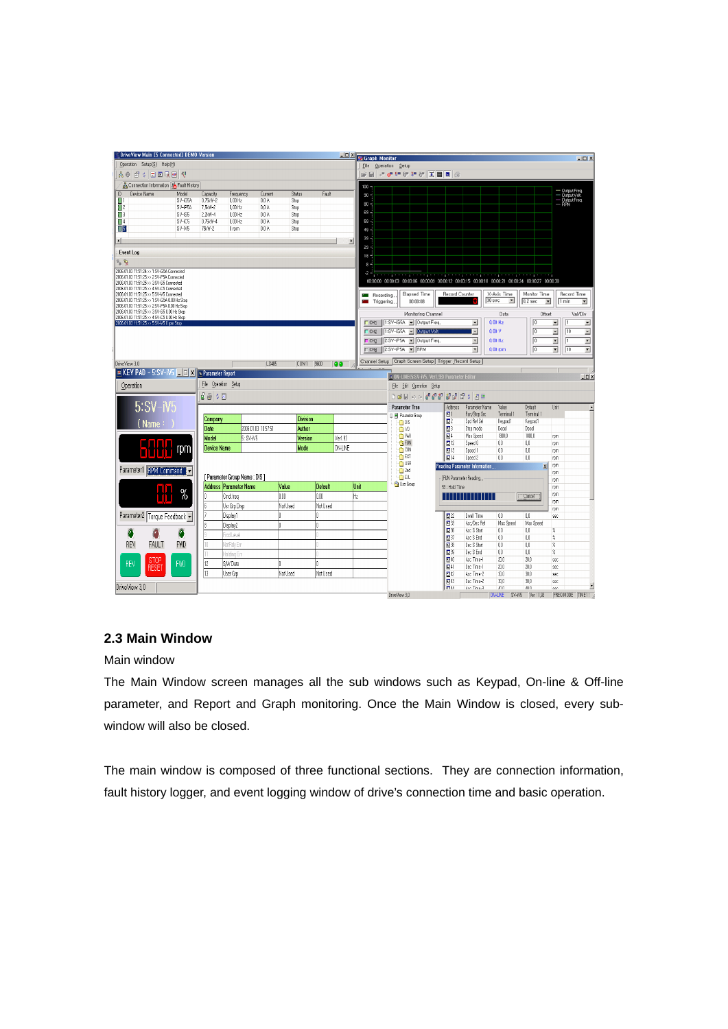| DriveView Main [5 Connected] DEMO Version                                                     |                    |                      |                                |                                                     |                 |                          |              | <b>No. 2 St Graph Monitor</b> |               |                                                                                                    |                          |                               |                       |                                      |                                                            | $-10X$             |
|-----------------------------------------------------------------------------------------------|--------------------|----------------------|--------------------------------|-----------------------------------------------------|-----------------|--------------------------|--------------|-------------------------------|---------------|----------------------------------------------------------------------------------------------------|--------------------------|-------------------------------|-----------------------|--------------------------------------|------------------------------------------------------------|--------------------|
| Operation Setup(S) Help(H)                                                                    |                    |                      |                                |                                                     |                 |                          |              | Eile Operation Setup          |               |                                                                                                    |                          |                               |                       |                                      |                                                            |                    |
| AO É : EERE Y                                                                                 |                    |                      |                                |                                                     |                 |                          |              |                               |               | ※日 → またいたと 美国国 @                                                                                   |                          |                               |                       |                                      |                                                            |                    |
| & Connection Information   & Fault History                                                    |                    |                      |                                |                                                     |                 |                          |              | $100 -$                       |               |                                                                                                    |                          |                               |                       |                                      |                                                            |                    |
| Device Name<br>$\mathsf{ID}$                                                                  | Model              | Capacity             | Frequency                      | Current<br><b>Status</b>                            |                 | Fault                    |              | 50 <sub>1</sub>               |               |                                                                                                    |                          |                               |                       |                                      | — Output Freq<br>— Output Volt.<br>— Output Freq.<br>— RPM |                    |
| 冒!<br>$\Box$ 2                                                                                | SV-iG5A<br>SV-iP5A | 0.75kW-2<br>7,5kW-2  | $0.00$ Hz<br>$0,00$ Hz         | $0.0\ \text{Å}$<br>Stop<br>$0,0 \mathsf{A}$<br>Stop |                 |                          |              | 80                            |               |                                                                                                    |                          |                               |                       |                                      |                                                            |                    |
| $\Box$                                                                                        | SV-iS5             | 2,2kW-4              | $0,00$ Hz                      | $0,0$ A<br>Stop                                     |                 |                          |              | $69 -$                        |               |                                                                                                    |                          |                               |                       |                                      |                                                            |                    |
| $\Box$ 4                                                                                      | SV-iC5             | 0,75kW-4             | $0,00$ Hz                      | 0.0A<br>Stop                                        |                 |                          |              | 59                            |               |                                                                                                    |                          |                               |                       |                                      |                                                            |                    |
| 35                                                                                            | SV-iV5             | 75kW-2               | 0 rpm                          | 0.0A<br>Stop                                        |                 |                          |              | $49 -$                        |               |                                                                                                    |                          |                               |                       |                                      |                                                            |                    |
| $\left  \cdot \right $                                                                        |                    |                      |                                |                                                     |                 |                          | $\mathbf{E}$ | 39                            |               |                                                                                                    |                          |                               |                       |                                      |                                                            |                    |
| <b>Event Log</b>                                                                              |                    |                      |                                |                                                     |                 |                          |              | 29                            |               |                                                                                                    |                          |                               |                       |                                      |                                                            |                    |
| えん                                                                                            |                    |                      |                                |                                                     |                 |                          |              | 18<br>8 -                     |               |                                                                                                    |                          |                               |                       |                                      |                                                            |                    |
| 2006.01.03 11:51:24 >> 1:SV-iG5A Connected<br>2006.01.03 11:51:25 >> 2:SV-P5A Connected       |                    |                      |                                |                                                     |                 |                          |              | ż,                            |               |                                                                                                    |                          |                               |                       |                                      |                                                            |                    |
| 2006.01.03 11:51:25 >> 3:SV-65 Connected                                                      |                    |                      |                                |                                                     |                 |                          |              |                               |               | 00.00.00 00.00.03 00.00.06 00.00.09 00.00.12 00.00.15 00.00.18 00.00.21 00.00.24 00.00.27 00.00.30 |                          |                               |                       |                                      |                                                            |                    |
| 2006.01.03 11:51:25 >> 4:SV-iC5 Connected<br>2006.01.03 11:51:25 >> 5:SV-M5 Connected         |                    |                      |                                |                                                     |                 |                          |              | Recording.                    |               | Elapsed Time                                                                                       | Record Counter           |                               | X-Axis Time           | Monitor Time                         |                                                            | <b>Record Time</b> |
| 2006.01.03 11:51:25 >> 1:SV-iG5A 0.00 Hz Stop<br>2006.01.03 11:51:25 >> 2 SV-P5A 0.00 Hz Stop |                    |                      |                                |                                                     |                 |                          |              | Triggering,                   |               | 00:00:08                                                                                           |                          |                               | 30 sec<br>본           | $0.2$ sec<br>$\overline{\mathbf{r}}$ | 1 min                                                      | ×                  |
| 2006.01.03 11:51:25 >> 3:SV-65 0.00 Hz Stop<br>2006.01.03 11:51:25 >> 4:5V-iC5 0.00 Hz Stop   |                    |                      |                                |                                                     |                 |                          |              |                               |               | Monitoring Channel                                                                                 |                          |                               | Data                  | Offset                               |                                                            | Val/Div            |
| 2006.01.03 11:51:25 >> 5:SV-M5 0 rpm Stop                                                     |                    |                      |                                |                                                     |                 |                          |              |                               |               | CH1 1:SV-iG5A - Output Freq.                                                                       |                          | $\blacksquare$                | 0,00 Hz               | $\sqrt{0}$                           | Π<br>킈                                                     | 트                  |
|                                                                                               |                    |                      |                                |                                                     |                 |                          |              |                               |               | CH2 1:SV-iG5A - Dunput Volt                                                                        |                          | $\overline{z}$                | 0,00 V                | $\sqrt{0}$                           | $\sqrt{10}$<br>픠                                           | $\overline{z}$     |
|                                                                                               |                    |                      |                                |                                                     |                 |                          |              |                               |               | CH3 2:SV-iP5A V Output Freq                                                                        |                          | ⊡                             | $0.00$ Hz             | о                                    | ⊡<br>$\sqrt{1}$                                            | Ξ                  |
|                                                                                               |                    |                      |                                |                                                     |                 |                          |              |                               |               | Г CH4 2-SV-IP5A - RPM                                                                              |                          | ≖                             | $0.00$ rpm            | п                                    | ⊒<br>$\sqrt{10}$                                           | Ξ                  |
| DriveView 3,0                                                                                 |                    |                      |                                | <b>LS485</b>                                        | COM1 9600       |                          |              |                               |               | Channel Setup   Graph Screen Setup   Trigger Record Setup                                          |                          |                               |                       |                                      |                                                            |                    |
| R KEY PAD - 5:SV-iV5   D X   B Parameter Report                                               |                    |                      |                                |                                                     |                 | $\overline{\phantom{a}}$ |              | .50                           |               |                                                                                                    |                          |                               |                       |                                      |                                                            |                    |
|                                                                                               |                    |                      |                                |                                                     |                 |                          |              |                               |               | o ON-LINE(5:SV-iV5, Ver1,93) Parameter Editor                                                      |                          |                               |                       |                                      |                                                            | $\Box$             |
| Operation                                                                                     |                    | File Operation Setup |                                |                                                     |                 |                          |              |                               |               | File Edit Operation Setup                                                                          |                          |                               |                       |                                      |                                                            |                    |
|                                                                                               |                    | 08 10                |                                |                                                     |                 |                          |              |                               |               | 191000 1920 1920 1920 1921                                                                         |                          |                               |                       |                                      |                                                            |                    |
| $5:SV-IV5$                                                                                    |                    |                      |                                |                                                     |                 |                          |              |                               |               | <b>Parameter Tree</b>                                                                              | Address                  | Parameter Name                | Value                 | Default                              | Unit                                                       |                    |
|                                                                                               |                    | Company              |                                |                                                     | <b>Division</b> |                          |              |                               |               | Fill Parameter Group                                                                               | E1<br>$\mathbb{Z}^2$     | Run/Stop Src<br>Spd Ref Sel   | Terminal 1<br>Keypad1 | Terminal 1<br>Keypad1                |                                                            |                    |
| (Name)                                                                                        |                    | Date                 | 2006.01.03 10:57:51            |                                                     | Author          |                          |              |                               |               | $\bigcirc$ DIS<br>$\cap$ 10                                                                        | B3                       | Stop mode                     | Decel                 | Decel                                |                                                            |                    |
|                                                                                               |                    | Model                | 5: SV-M5                       |                                                     | Version         | Ver1.93                  |              |                               |               | RAB                                                                                                | $E$ <sup>4</sup>         | Max Speed                     | 1800.0                | 1800.0                               | rom                                                        |                    |
|                                                                                               |                    | <b>Device Name</b>   |                                |                                                     | Mode            | ON-LINE                  |              |                               |               | <b>G</b> FUN                                                                                       | 图12                      | Speed 0                       | 0.0                   | 0.0                                  | rpm                                                        |                    |
|                                                                                               | rpm                |                      |                                |                                                     |                 |                          |              |                               |               | $\bigcirc$ CON<br>ΟM                                                                               | 图13<br>图14               | Speed 1<br>Speed 2            | 0.0<br>0.0            | 00<br>00                             | rpm                                                        |                    |
|                                                                                               |                    |                      |                                |                                                     |                 |                          |              |                               |               | OUSR                                                                                               |                          | Reading Parameter Information |                       | $\overline{x}$                       | rom<br>rpm                                                 |                    |
| Parameter1 <b>RPM Command</b> v                                                               |                    |                      |                                |                                                     |                 |                          |              |                               |               | 0 <sup>2d</sup>                                                                                    |                          |                               |                       |                                      | rpm                                                        |                    |
|                                                                                               |                    |                      | [ Parameter Group Name : DIS ] |                                                     |                 |                          |              |                               |               | ÔИ<br><sup>6</sup> User Group                                                                      | [FUN Parameter Reading,, |                               |                       |                                      | rpm                                                        |                    |
|                                                                                               | $\%$               |                      | <b>Address Parameter Name</b>  | Value                                               | <b>Default</b>  |                          |              | Unit                          |               |                                                                                                    | 53 : Hold Time           |                               |                       |                                      | rpm<br>rpm                                                 |                    |
|                                                                                               |                    |                      | Cmd.freq                       | 0.00                                                | 0.OO            |                          | Hz           |                               |               |                                                                                                    |                          |                               |                       | Lancel                               | rpm                                                        |                    |
|                                                                                               |                    |                      | Usr Grp Disp                   | Not Used                                            | Nat Used        |                          |              |                               |               |                                                                                                    |                          |                               |                       |                                      | rom                                                        |                    |
| Parameter2 Torque Feedback •                                                                  |                    |                      | Display1                       |                                                     |                 |                          |              |                               |               |                                                                                                    | <b>回22</b>               | Dwell Time                    | $0,0$                 | $0.0\,$                              | sec                                                        |                    |
|                                                                                               |                    |                      | Display2                       |                                                     |                 |                          |              |                               |               |                                                                                                    | ■33                      | Acc/Dec Ref                   | Max Speed<br>ū0       | Max Speed<br>0.0                     | $\%$                                                       |                    |
|                                                                                               | ٥                  |                      | rod Level                      |                                                     |                 |                          |              |                               |               |                                                                                                    | ■36<br>$\Box$ 37         | Acc S Start<br>Acc S End      | 0,0                   | 0,0                                  | $\%$                                                       |                    |
| REV<br><b>FAULT</b>                                                                           | <b>FWD</b>         |                      | <b>VotRov</b> Em               |                                                     |                 |                          |              |                               |               |                                                                                                    | $E^{3}$                  | Dec S Start                   | 0,0                   | 0,0                                  | X                                                          |                    |
|                                                                                               |                    |                      | Holdino Em                     |                                                     |                 |                          |              |                               |               |                                                                                                    | 日39                      | Dec S End                     | 0,0                   | 00                                   | $\%$                                                       |                    |
| <b>STOP</b><br>REV                                                                            | <b>FWD</b>         | 12                   | SAV Date                       |                                                     |                 |                          |              |                               |               |                                                                                                    | 图40                      | Acc Time-1                    | 20,0                  | 20.0                                 | sec                                                        |                    |
| RESET                                                                                         |                    | 13                   | User Gro                       | Not Used                                            | Not Used        |                          |              |                               |               |                                                                                                    | $E$ <sup>41</sup>        | Dec Time-1<br>Acc Time-2      | 20.0<br>30.0          | 20.0<br>30.0                         | sec<br>sec                                                 |                    |
|                                                                                               |                    |                      |                                |                                                     |                 |                          |              |                               |               |                                                                                                    | 图42<br>图43               | Dec Time-2                    | 30,0                  | 30.0                                 | sec                                                        |                    |
| DriveView 3.0                                                                                 |                    |                      |                                |                                                     |                 |                          |              |                               |               |                                                                                                    | <b>FLAA</b>              | åre Timo-3                    | mn                    | $An$ $An$                            | car                                                        | ≛                  |
|                                                                                               |                    |                      |                                |                                                     |                 |                          |              |                               | DriveView 3.0 |                                                                                                    |                          |                               | <b>ON-LINE</b>        | SV-iV5<br>Ver: 1.93                  |                                                            | FREQ MODE TIME1:   |

# **2.3 Main Window**

Main window

The Main Window screen manages all the sub windows such as Keypad, On-line & Off-line parameter, and Report and Graph monitoring. Once the Main Window is closed, every subwindow will also be closed.

The main window is composed of three functional sections. They are connection information, fault history logger, and event logging window of drive's connection time and basic operation.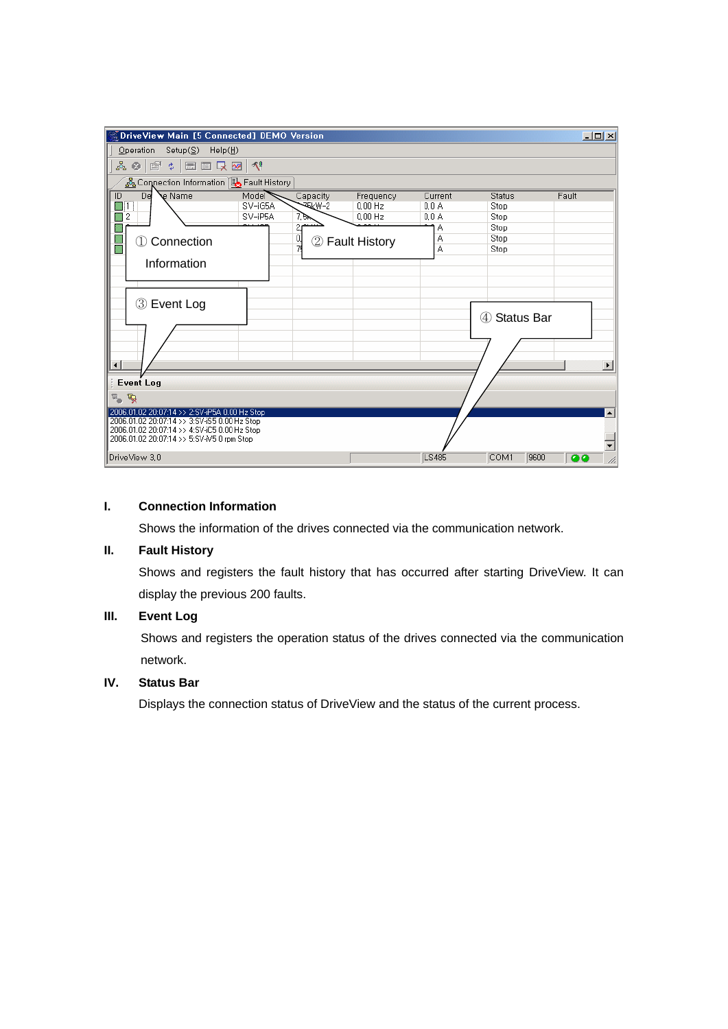|                | $\%$ DriveView Main [5 Connected] DEMO Version                                            |         |              |                      |              |                          |       | $-10X$                   |
|----------------|-------------------------------------------------------------------------------------------|---------|--------------|----------------------|--------------|--------------------------|-------|--------------------------|
|                | Operation Setup( $S$ ) Help( $H$ )                                                        |         |              |                      |              |                          |       |                          |
|                | ふ 3   @' ↓   ■   ■   ■   *   ↑                                                            |         |              |                      |              |                          |       |                          |
|                | & Connection Information   B Fault History                                                |         |              |                      |              |                          |       |                          |
| $\overline{1}$ | De<br>e Name                                                                              | Mode    | Capacity     | Frequency            | Current      | Status                   | Fault |                          |
| ■ 1            |                                                                                           | SV-iG5A | <b>ELW-2</b> | $0.00$ Hz            | 0.0A         | Stop                     |       |                          |
| ▓              | 2                                                                                         | SV-iP5A | 7.Ък         | $0,00$ Hz            | 0.0A         | Stop                     |       |                          |
|                |                                                                                           |         | 2,<br>0.     |                      | Α<br>Α       | Stop<br>Stop             |       |                          |
|                | Connection<br>①                                                                           |         | 2<br>79      | <b>Fault History</b> | А            | Stop                     |       |                          |
|                | Information                                                                               |         |              |                      |              |                          |       |                          |
|                |                                                                                           |         |              |                      |              |                          |       |                          |
|                |                                                                                           |         |              |                      |              |                          |       |                          |
|                |                                                                                           |         |              |                      |              |                          |       |                          |
|                | 3 Event Log                                                                               |         |              |                      |              |                          |       |                          |
|                |                                                                                           |         |              |                      |              | <b>Status Bar</b><br>(4) |       |                          |
|                |                                                                                           |         |              |                      |              |                          |       |                          |
|                |                                                                                           |         |              |                      |              |                          |       |                          |
|                |                                                                                           |         |              |                      |              |                          |       |                          |
| ⊣∣             |                                                                                           |         |              |                      |              |                          |       |                          |
|                | <b>Event Log</b>                                                                          |         |              |                      |              |                          |       |                          |
| ष्ट्र          |                                                                                           |         |              |                      |              |                          |       |                          |
|                | 2006.01.02 20:07:14 >> 2:SV-iP5A 0.00 Hz Stop                                             |         |              |                      |              |                          |       | $\left  \bullet \right $ |
|                | 2006.01.02 20:07:14 >> 3:SV-iS5 0.00 Hz Stop                                              |         |              |                      |              |                          |       |                          |
|                | 2006.01.02 20:07:14 >> 4:SV-iC5 0.00 Hz Stop<br>2006.01.02 20:07:14 >> 5:SV-M5 0 rpm Stop |         |              |                      |              |                          |       |                          |
|                |                                                                                           |         |              |                      |              |                          |       |                          |
|                | DriveView 3.0                                                                             |         |              |                      | <b>LS485</b> | COM1                     | 9600  | 100                      |

## **I. Connection Information**

Shows the information of the drives connected via the communication network.

## **II. Fault History**

Shows and registers the fault history that has occurred after starting DriveView. It can display the previous 200 faults.

# **III. Event Log**

Shows and registers the operation status of the drives connected via the communication network.

# **IV. Status Bar**

Displays the connection status of DriveView and the status of the current process.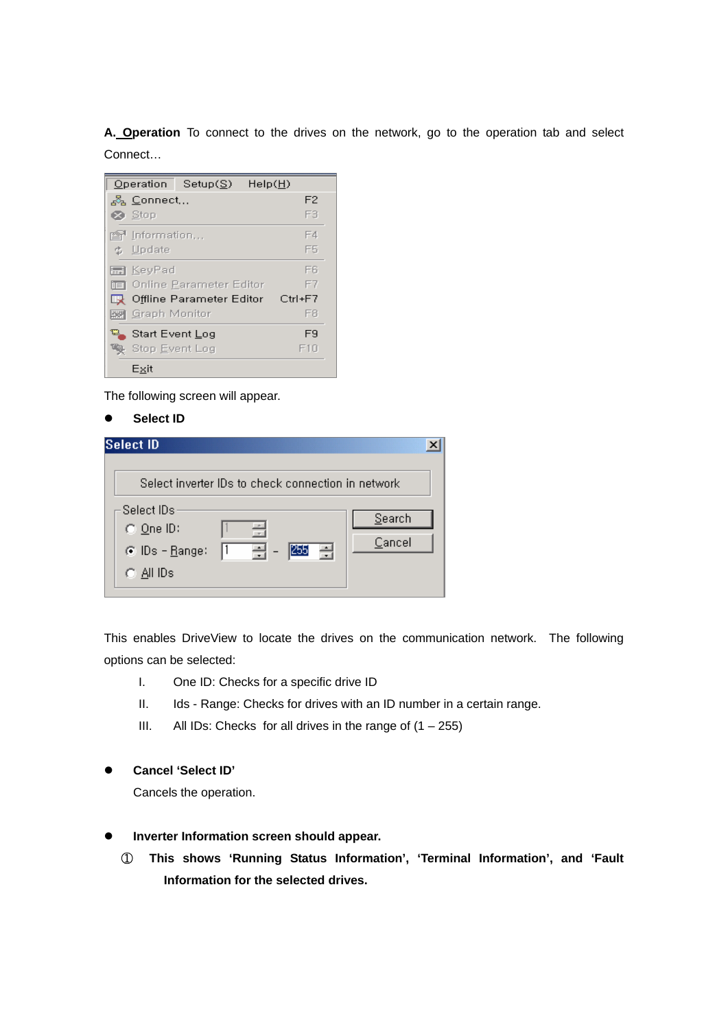**A. Operation** To connect to the drives on the network, go to the operation tab and select Connect…

| Operation<br>HeIp(H)<br>Setup(S)   |             |
|------------------------------------|-------------|
| ್ಲಿ Connect                        | F2          |
| $\otimes$ Stop                     | F3          |
| rlermation                         | F4          |
| ₿ Update                           | F5          |
| ■ KeyPad                           | Fß          |
| 面 Online Parameter Editor          | F7          |
| <b>By</b> Offline Parameter Editor | $Ctrl + F7$ |
| - Graph Monitor                    | F8          |
| -Start Event Log                   | F9          |
| Stop Event Log                     | F10         |
| Exit                               |             |

The following screen will appear.

**Select ID** 

| <b>Select ID</b>                                                                                        |                  |
|---------------------------------------------------------------------------------------------------------|------------------|
| Select inverter IDs to check connection in network                                                      |                  |
| Select IDs.<br>る<br>$\bigcirc$ One ID:<br>255<br>곡 -<br>릒<br>$\odot$ IDs - Range:<br>$\bigcirc$ All IDs | Search<br>Cancel |

This enables DriveView to locate the drives on the communication network. The following options can be selected:

- I. One ID: Checks for a specific drive ID
- II. Ids Range: Checks for drives with an ID number in a certain range.
- III. All IDs: Checks for all drives in the range of  $(1 255)$
- **•** Cancel 'Select ID'

Cancels the operation.

- **•** Inverter Information screen should appear.
	- ① **This shows 'Running Status Information', 'Terminal Information', and 'Fault Information for the selected drives.**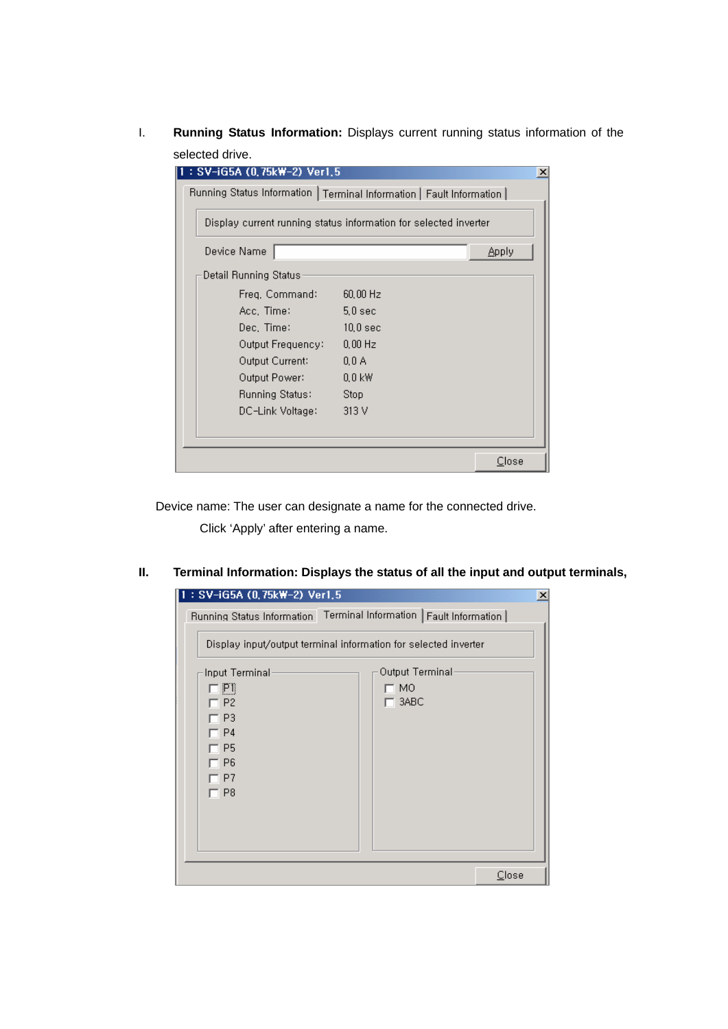I. **Running Status Information:** Displays current running status information of the selected drive.

| : SV-iG5A (0,75kW-2) Ver1,5                                           |                                                                  | $\boldsymbol{\mathsf{x}}$ |
|-----------------------------------------------------------------------|------------------------------------------------------------------|---------------------------|
| Running Status Information   Terminal Information   Fault Information |                                                                  |                           |
|                                                                       | Display current running status information for selected inverter |                           |
| Device Name                                                           |                                                                  | Apply                     |
| Detail Running Status                                                 |                                                                  |                           |
| Freg. Command:                                                        | $60,00$ Hz                                                       |                           |
| Acc. Time:                                                            | 5.0 <sub>sec</sub>                                               |                           |
| Dec, Time:                                                            | 10.0 <sub>sec</sub>                                              |                           |
| Output Frequency:                                                     | $0.00$ Hz                                                        |                           |
| Output Current:                                                       | 0.0A                                                             |                           |
| Output Power:                                                         | $0.0$ kW                                                         |                           |
| <b>Running Status:</b>                                                | Stop                                                             |                           |
| DC-Link Voltage:                                                      | 313 V                                                            |                           |
|                                                                       |                                                                  |                           |
|                                                                       |                                                                  | Close                     |

Device name: The user can designate a name for the connected drive.

Click 'Apply' after entering a name.

**II. Terminal Information: Displays the status of all the input and output terminals,** 

 $\overline{\phantom{a}}$ 

 $\overline{\phantom{a}}$ 

| : SV-iG5A (0,75kW-2) Ver1,5 |                                                                     | $\times$ |
|-----------------------------|---------------------------------------------------------------------|----------|
|                             | Running Status Information Terminal Information   Fault Information |          |
|                             | Display input/output terminal information for selected inverter     |          |
| Input Terminal<br>口凹        | Output Terminal<br>7 MO                                             |          |
| $\Box$ P2                   | $-$ 3ABC                                                            |          |
| $\Box$ P3.<br>□ P4          |                                                                     |          |
| IT P5                       |                                                                     |          |
| $\Box$ P6<br>T P7           |                                                                     |          |
| $\Box$ P8                   |                                                                     |          |
|                             |                                                                     |          |
|                             |                                                                     |          |
|                             |                                                                     |          |
|                             | Close                                                               |          |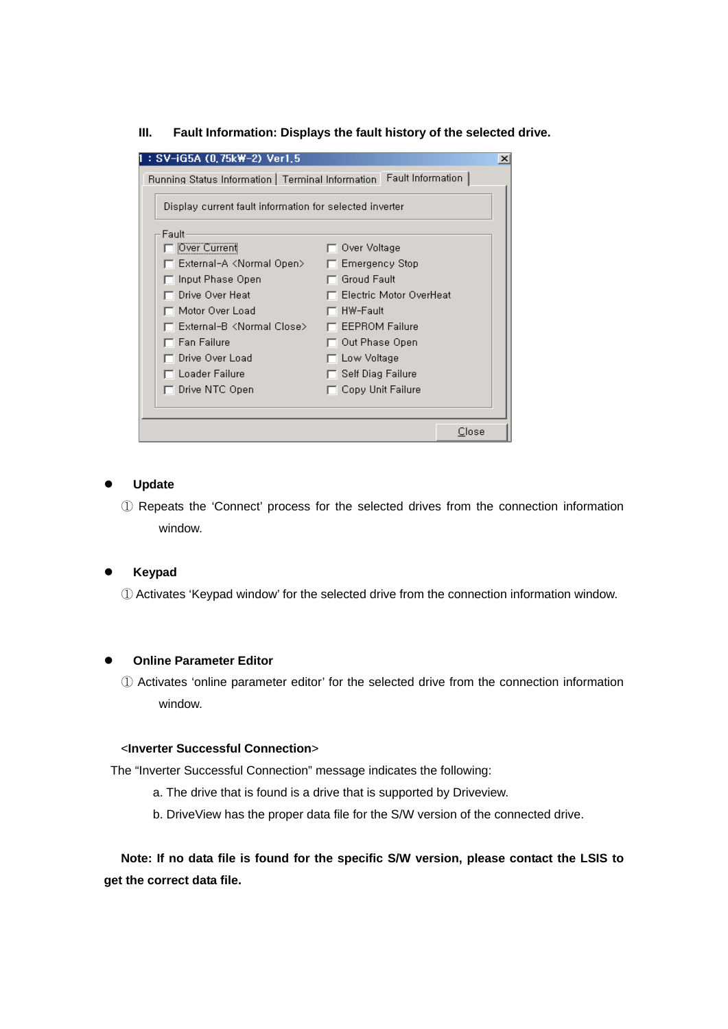**III. Fault Information: Displays the fault history of the selected drive.** 

| : SV-iG5A (0,75kW-2) Ver1,5                                           |                           | $\vert x \vert$ |
|-----------------------------------------------------------------------|---------------------------|-----------------|
| Running Status Information   Terminal Information   Fault Information |                           |                 |
| Display current fault information for selected inverter               |                           |                 |
| Fault                                                                 |                           |                 |
| Over Current                                                          | $\Box$ Over Voltage       |                 |
| External-A <normal open=""></normal>                                  | $\Box$ Emergency Stop     |                 |
| Input Phase Open                                                      | $\sqcap$ Groud Fault      |                 |
| Drive Over Heat                                                       | □ Electric Motor OverHeat |                 |
| Motor Over Load                                                       | ⊤ HW-Fault                |                 |
| □ External-B <normal close=""></normal>                               | $\Box$ EEPROM Failure     |                 |
| $\Box$ Fan Failure                                                    | $\Box$ Out Phase Open     |                 |
| □ Drive Over Load                                                     | $\Box$ Low Voltage        |                 |
| $\Box$ Loader Failure                                                 | $\Box$ Self Diag Failure  |                 |
| $\Box$ Drive NTC Open                                                 | $\Box$ Copy Unit Failure  |                 |
|                                                                       |                           |                 |
|                                                                       | Close                     |                 |

#### **Update**

 ① Repeats the 'Connect' process for the selected drives from the connection information window.

#### **Keypad**

① Activates 'Keypad window' for the selected drive from the connection information window.

#### **Online Parameter Editor**

 ① Activates 'online parameter editor' for the selected drive from the connection information window.

## <**Inverter Successful Connection**>

The "Inverter Successful Connection" message indicates the following:

- a. The drive that is found is a drive that is supported by Driveview.
- b. DriveView has the proper data file for the S/W version of the connected drive.

 **Note: If no data file is found for the specific S/W version, please contact the LSIS to get the correct data file.**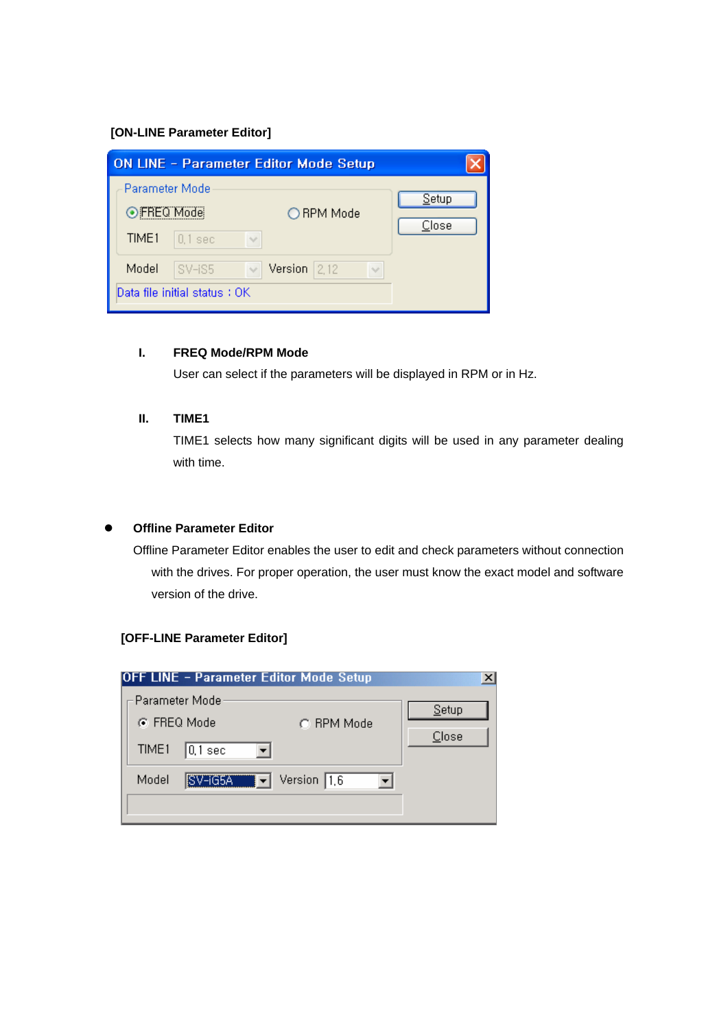# **[ON-LINE Parameter Editor]**

|                                                    | <b>ON LINE - Parameter Editor Mode Setup</b> |                |
|----------------------------------------------------|----------------------------------------------|----------------|
| Parameter Mode<br>⊙FREQ Mode<br>TIME1<br>$0.1$ sec | ◯ RPM Mode<br>$\sim$                         | Setup<br>Close |
| Model<br>SV-iS5<br>Data file initial status : OK   | Version $2,12$<br>$\vee$<br>$\sim$           |                |

#### **I. FREQ Mode/RPM Mode**

User can select if the parameters will be displayed in RPM or in Hz.

## **II. TIME1**

TIME1 selects how many significant digits will be used in any parameter dealing with time.

## **Offline Parameter Editor**

Offline Parameter Editor enables the user to edit and check parameters without connection with the drives. For proper operation, the user must know the exact model and software version of the drive.

# **[OFF-LINE Parameter Editor]**

| <b>OFF LINE - Parameter Editor Mode Setup</b>                    |                                                    |                |
|------------------------------------------------------------------|----------------------------------------------------|----------------|
| – Parameter Mode<br>⊙ FREQ Mode<br>TIME1<br>$ 0,1\>\mathrm{sec}$ | C. RPM Mode                                        | Setup<br>Close |
| SV-iG5A<br>Model                                                 | $\boxed{\blacktriangledown}$ Version $\boxed{1,6}$ |                |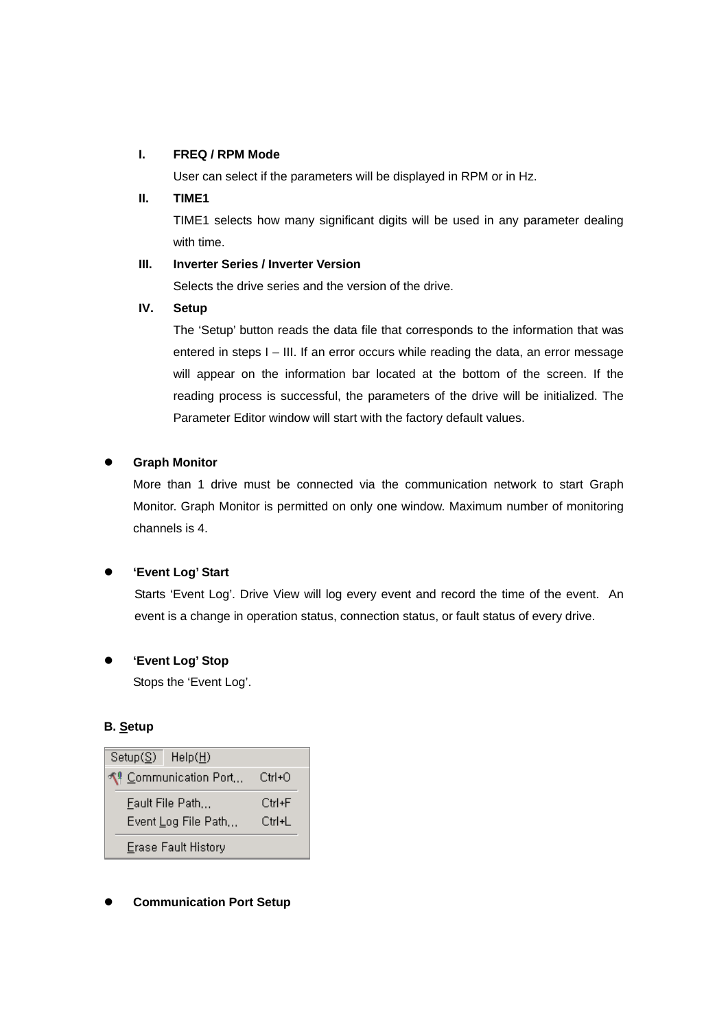#### **I. FREQ / RPM Mode**

User can select if the parameters will be displayed in RPM or in Hz.

## **II. TIME1**

TIME1 selects how many significant digits will be used in any parameter dealing with time.

## **III. Inverter Series / Inverter Version**

Selects the drive series and the version of the drive.

## **IV. Setup**

The 'Setup' button reads the data file that corresponds to the information that was entered in steps I – III. If an error occurs while reading the data, an error message will appear on the information bar located at the bottom of the screen. If the reading process is successful, the parameters of the drive will be initialized. The Parameter Editor window will start with the factory default values.

# **Graph Monitor**

More than 1 drive must be connected via the communication network to start Graph Monitor. Graph Monitor is permitted on only one window. Maximum number of monitoring channels is 4.

# z **'Event Log' Start**

Starts 'Event Log'. Drive View will log every event and record the time of the event. An event is a change in operation status, connection status, or fault status of every drive.

# z **'Event Log' Stop**

Stops the 'Event Log'.

# **B. Setup**



# **Communication Port Setup**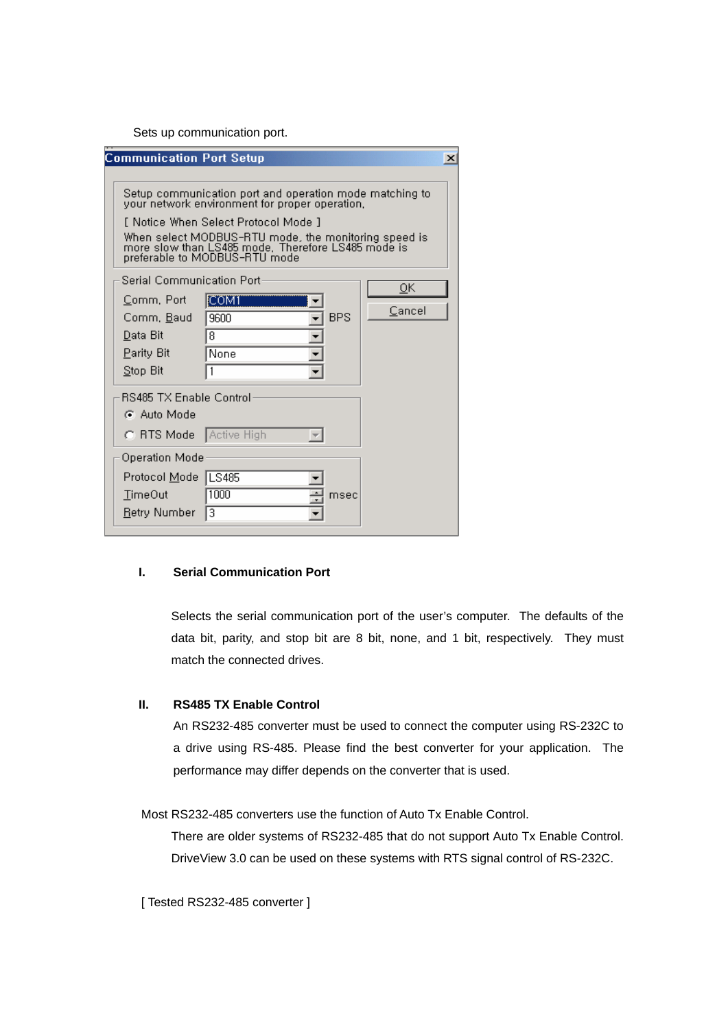Sets up communication port.

| <b>Communication Port Setup</b> |                                                                                                                                             |            |      | $\times$ |
|---------------------------------|---------------------------------------------------------------------------------------------------------------------------------------------|------------|------|----------|
|                                 |                                                                                                                                             |            |      |          |
|                                 | Setup communication port and operation mode matching to<br>your network environment for proper operation.                                   |            |      |          |
|                                 | f Notice When Select Protocol Mode 1                                                                                                        |            |      |          |
|                                 |                                                                                                                                             |            |      |          |
|                                 | When select MODBUS-RTU mode, the monitoring speed is<br>more slow than LS485 mode. Therefore LS485 mode is<br>preferable to MODBUS-RTU mode |            |      |          |
|                                 |                                                                                                                                             |            |      |          |
| Serial Communication Port-      |                                                                                                                                             |            |      | 0K.      |
| Comm, Port                      | [COM1                                                                                                                                       |            |      | Cancel   |
| Comm, Baud                      | 9600                                                                                                                                        | <b>BPS</b> |      |          |
| Data Bit                        | 8                                                                                                                                           |            |      |          |
| Parity Bit                      | None                                                                                                                                        |            |      |          |
| Stop Bit                        |                                                                                                                                             |            |      |          |
| <b>RS485 TX Enable Control</b>  |                                                                                                                                             |            |      |          |
| C Auto Mode                     |                                                                                                                                             |            |      |          |
| C RTS Mode   Active High        |                                                                                                                                             |            |      |          |
| Operation Mode                  |                                                                                                                                             |            |      |          |
| Protocol Mode                   | LS485                                                                                                                                       |            |      |          |
| <b>TimeOut</b>                  | 1000                                                                                                                                        |            | msec |          |
| Retry Number                    | lз                                                                                                                                          |            |      |          |

#### **I. Serial Communication Port**

Selects the serial communication port of the user's computer. The defaults of the data bit, parity, and stop bit are 8 bit, none, and 1 bit, respectively. They must match the connected drives.

# **II. RS485 TX Enable Control**

An RS232-485 converter must be used to connect the computer using RS-232C to a drive using RS-485. Please find the best converter for your application. The performance may differ depends on the converter that is used.

Most RS232-485 converters use the function of Auto Tx Enable Control.

There are older systems of RS232-485 that do not support Auto Tx Enable Control. DriveView 3.0 can be used on these systems with RTS signal control of RS-232C.

[ Tested RS232-485 converter ]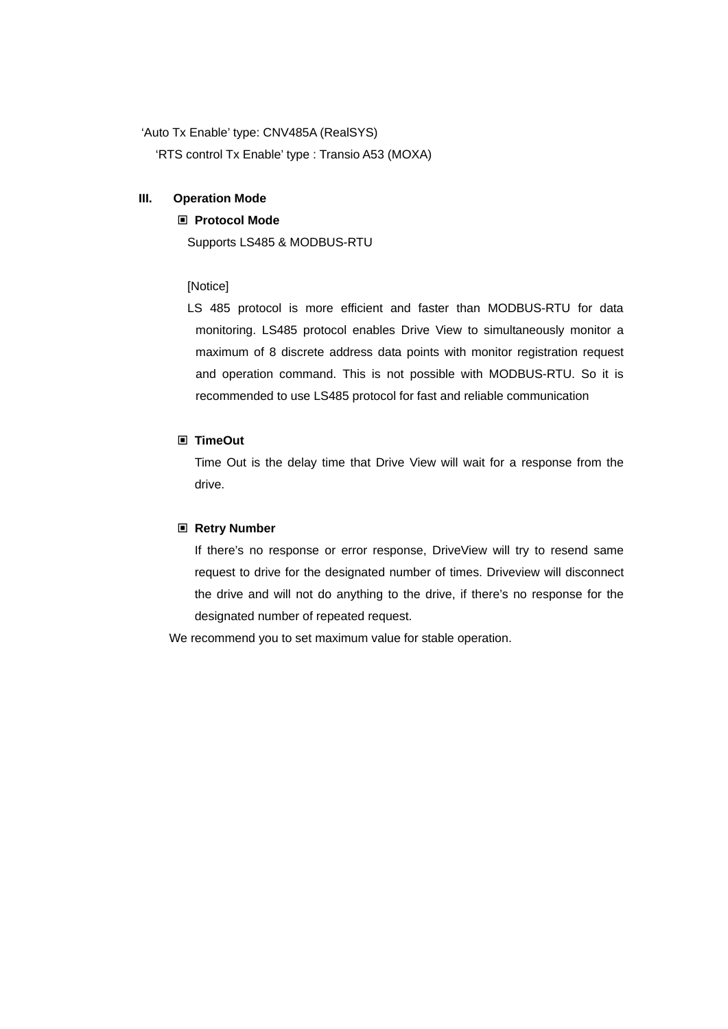'Auto Tx Enable' type: CNV485A (RealSYS)

'RTS control Tx Enable' type : Transio A53 (MOXA)

#### **III. Operation Mode**

## **Protocol Mode**

Supports LS485 & MODBUS-RTU

# [Notice]

 LS 485 protocol is more efficient and faster than MODBUS-RTU for data monitoring. LS485 protocol enables Drive View to simultaneously monitor a maximum of 8 discrete address data points with monitor registration request and operation command. This is not possible with MODBUS-RTU. So it is recommended to use LS485 protocol for fast and reliable communication

## **TimeOut**

Time Out is the delay time that Drive View will wait for a response from the drive.

#### **Retry Number**

If there's no response or error response, DriveView will try to resend same request to drive for the designated number of times. Driveview will disconnect the drive and will not do anything to the drive, if there's no response for the designated number of repeated request.

We recommend you to set maximum value for stable operation.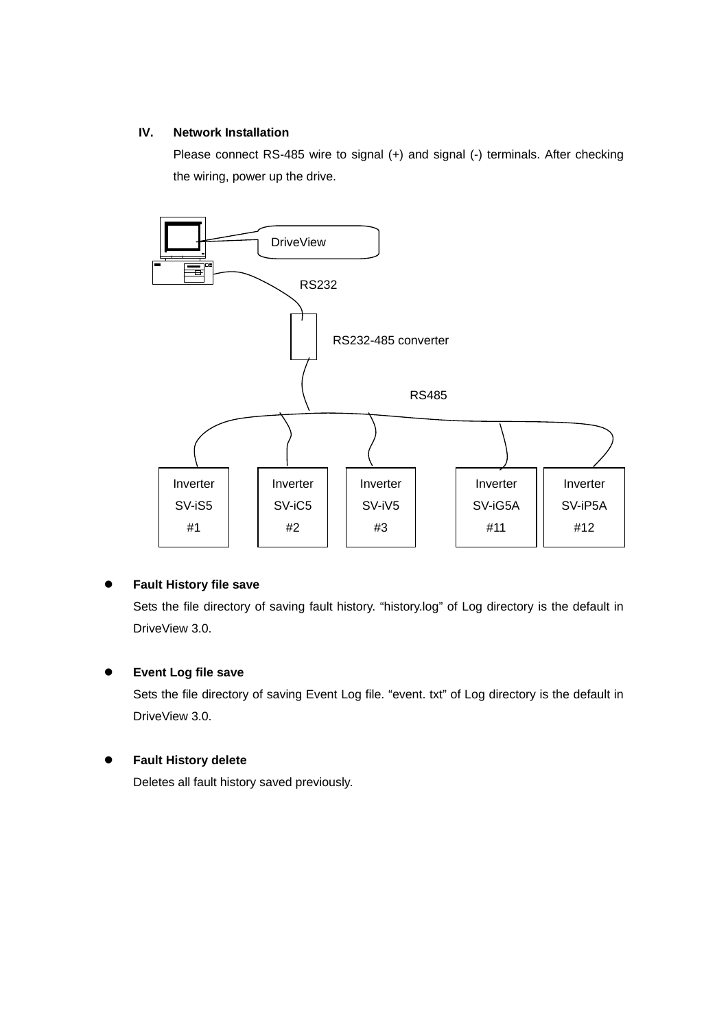# **IV. Network Installation**

Please connect RS-485 wire to signal (+) and signal (-) terminals. After checking the wiring, power up the drive.



# **Fault History file save**

Sets the file directory of saving fault history. "history.log" of Log directory is the default in DriveView 3.0.

# **•** Event Log file save

Sets the file directory of saving Event Log file. "event. txt" of Log directory is the default in DriveView 3.0.

# **Fault History delete**

Deletes all fault history saved previously.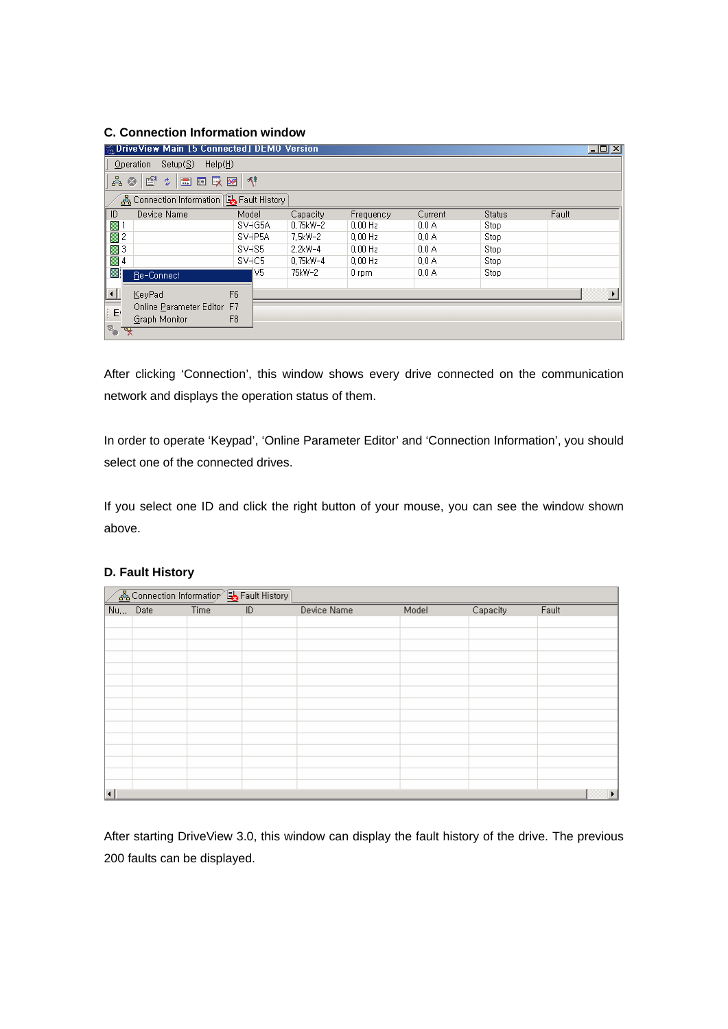## **C. Connection Information window**

|                                  | <b>B. DriveView Main [5 Connected] DEMO Version</b> |         |            |           |                  |        | $\Box$ DIXI           |
|----------------------------------|-----------------------------------------------------|---------|------------|-----------|------------------|--------|-----------------------|
| Setup(S)<br>Help(H)<br>Operation |                                                     |         |            |           |                  |        |                       |
| 曾<br>■■吸図 1<br>ॹ<br>ø<br>耍       |                                                     |         |            |           |                  |        |                       |
|                                  | န္တြဲ Connection Information ြန္း Fault History     |         |            |           |                  |        |                       |
| Device Name<br>ID                |                                                     | Model   | Capacity   | Frequency | Current          | Status | Fault                 |
| ■ 1                              |                                                     | SV-iG5A | 0.75kW-2   | $0.00$ Hz | $0,0 \mathsf{A}$ | Stop   |                       |
| $\Box$ 2                         |                                                     | SV-iP5A | 7.5kW-2    | $0.00$ Hz | 0.0A             | Stop   |                       |
| 圖3                               |                                                     | SV-iS5  | $2.2$ kW-4 | $0.00$ Hz | 0.0A             | Stop   |                       |
| 圖 4                              |                                                     | SV-iC5  | 0.75kW-4   | $0.00$ Hz | $0,0 \text{ A}$  | Stop   |                       |
| EI.<br>Re-Connect                |                                                     | IV5.    | 75kW-2     | $0$ rpm   | $0,0 \text{ A}$  | Stop   |                       |
|                                  |                                                     |         |            |           |                  |        |                       |
| $\vert \cdot \vert$<br>KeyPad    | F <sub>6</sub>                                      |         |            |           |                  |        | $\blacktriangleright$ |
| E                                | Online Parameter Editor F7                          |         |            |           |                  |        |                       |
| Graph Monitor                    | F <sub>8</sub>                                      |         |            |           |                  |        |                       |
| $\overline{\mathbb{F}}_p$<br>☜   |                                                     |         |            |           |                  |        |                       |

After clicking 'Connection', this window shows every drive connected on the communication network and displays the operation status of them.

In order to operate 'Keypad', 'Online Parameter Editor' and 'Connection Information', you should select one of the connected drives.

If you select one ID and click the right button of your mouse, you can see the window shown above.

|         | Gonnection Information So Fault History |                                  |             |       |          |       |
|---------|-----------------------------------------|----------------------------------|-------------|-------|----------|-------|
| Nu Date |                                         | Time<br>$\overline{\mathsf{ID}}$ | Device Name | Model | Capacity | Fault |
|         |                                         |                                  |             |       |          |       |
|         |                                         |                                  |             |       |          |       |
|         |                                         |                                  |             |       |          |       |
|         |                                         |                                  |             |       |          |       |
|         |                                         |                                  |             |       |          |       |
|         |                                         |                                  |             |       |          |       |
|         |                                         |                                  |             |       |          |       |
|         |                                         |                                  |             |       |          |       |
|         |                                         |                                  |             |       |          |       |
|         |                                         |                                  |             |       |          |       |
|         |                                         |                                  |             |       |          |       |
|         |                                         |                                  |             |       |          |       |
|         |                                         |                                  |             |       |          |       |
|         |                                         |                                  |             |       |          |       |
|         |                                         |                                  |             |       |          |       |

## **D. Fault History**

After starting DriveView 3.0, this window can display the fault history of the drive. The previous 200 faults can be displayed.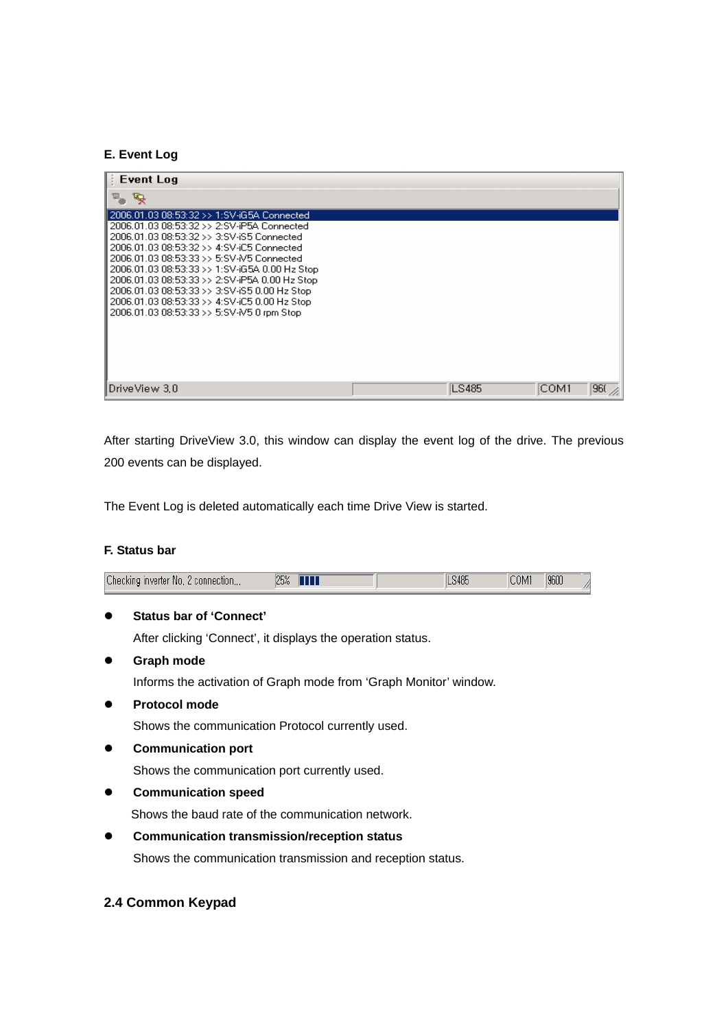#### **E. Event Log**

| <b>Event Log</b>                                                                                                                              |       |       |     |
|-----------------------------------------------------------------------------------------------------------------------------------------------|-------|-------|-----|
| w.<br>پته                                                                                                                                     |       |       |     |
| 2006.01.03 08:53:32 >> 1:SV-iG5A Connected                                                                                                    |       |       |     |
| 2006.01.03 08:53:32 >> 2:SV-iP5A Connected<br>2006.01.03 08:53:32 >> 3:SV-iS5 Connected<br>2006.01.03.08:53:32 >> 4:SV-iC5 Connected          |       |       |     |
| 2006.01.03 08:53:33 >> 5:SV-N5 Connected<br>2006.01.03 08:53:33 >> 1:SV-iG5A 0.00 Hz Stop                                                     |       |       |     |
| 2006.01.03 08:53:33 >> 2:SV-iP5A 0.00 Hz Stop<br>2006.01.03 08:53:33 >> 3:SV-iS5 0.00 Hz Stop<br>2006.01.03 08:53:33 >> 4:SV-iC5 0.00 Hz Stop |       |       |     |
| 2006.01.03 08:53:33 >> 5:SV-M5 0 rpm Stop                                                                                                     |       |       |     |
|                                                                                                                                               |       |       |     |
|                                                                                                                                               |       |       |     |
| ∥DriveView 3.0                                                                                                                                | LS485 | ICOM1 | 960 |

After starting DriveView 3.0, this window can display the event log of the drive. The previous 200 events can be displayed.

The Event Log is deleted automatically each time Drive View is started.

## **F. Status bar**

| Checking inverter No, 2 connection | 25%<br>$\mathop{\mathrm{III}}\nolimits$ | LS485 | 9600<br><b>COM</b> | г. |
|------------------------------------|-----------------------------------------|-------|--------------------|----|
|------------------------------------|-----------------------------------------|-------|--------------------|----|

# z **Status bar of 'Connect'**

After clicking 'Connect', it displays the operation status.

- **Graph mode** Informs the activation of Graph mode from 'Graph Monitor' window.
- **•** Protocol mode

Shows the communication Protocol currently used.

**•** Communication port

Shows the communication port currently used.

**•** Communication speed

Shows the baud rate of the communication network.

**•** Communication transmission/reception status

Shows the communication transmission and reception status.

## **2.4 Common Keypad**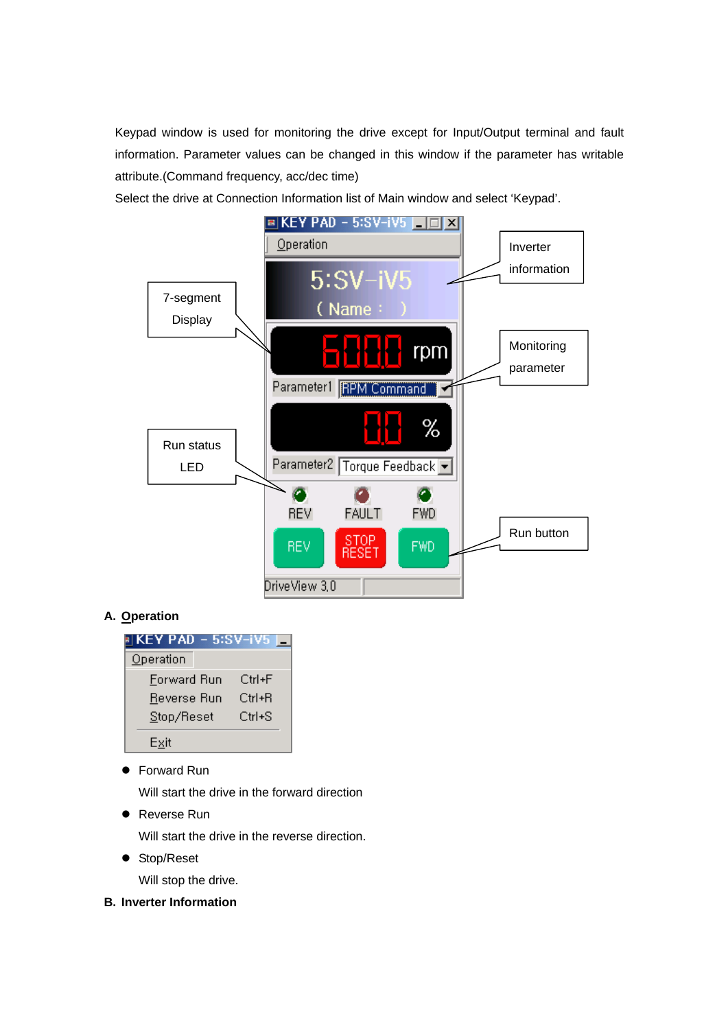Keypad window is used for monitoring the drive except for Input/Output terminal and fault information. Parameter values can be changed in this window if the parameter has writable attribute.(Command frequency, acc/dec time)

Select the drive at Connection Information list of Main window and select 'Keypad'.



# **A. Operation**



**Forward Run** 

Will start the drive in the forward direction

● Reverse Run

Will start the drive in the reverse direction.

• Stop/Reset

Will stop the drive.

**B. Inverter Information**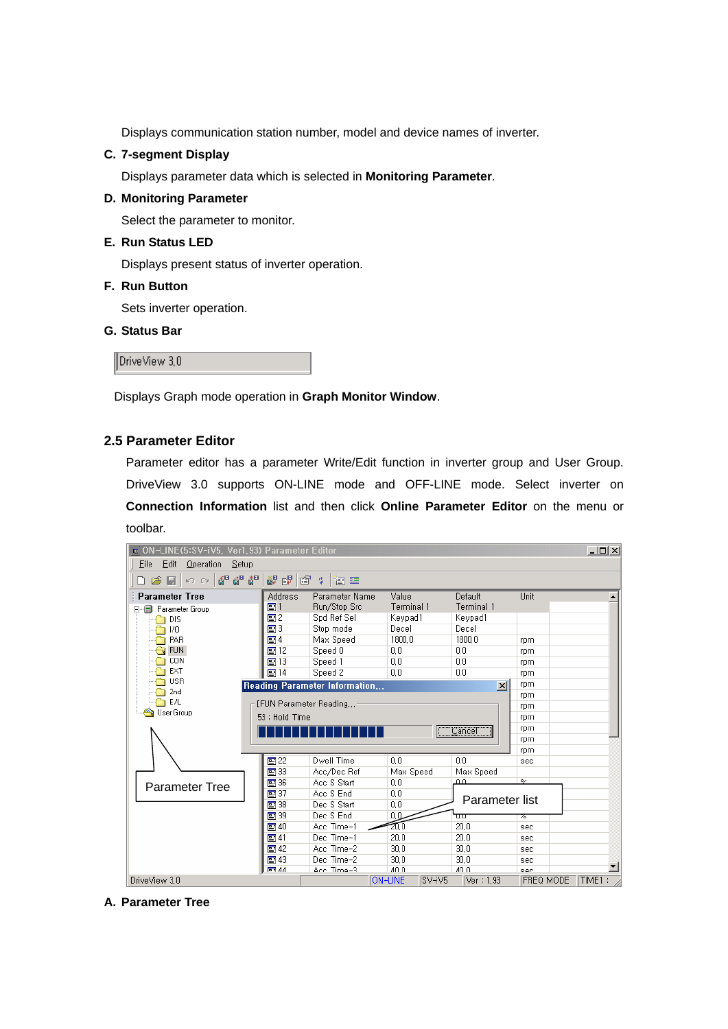Displays communication station number, model and device names of inverter.

#### **C. 7-segment Display**

Displays parameter data which is selected in **Monitoring Parameter**.

#### **D. Monitoring Parameter**

Select the parameter to monitor.

#### **E. Run Status LED**

Displays present status of inverter operation.

#### **F. Run Button**

Sets inverter operation.

#### **G. Status Bar**

DriveView 3.0

Displays Graph mode operation in **Graph Monitor Window**.

## **2.5 Parameter Editor**

Parameter editor has a parameter Write/Edit function in inverter group and User Group. DriveView 3.0 supports ON-LINE mode and OFF-LINE mode. Select inverter on **Connection Information** list and then click **Online Parameter Editor** on the menu or toolbar.

| n ON-LINE(5:SV-iV5, Ver1.93) Parameter Editor |                 |                               |                          |                 |                            | <u>_   미 지</u> |
|-----------------------------------------------|-----------------|-------------------------------|--------------------------|-----------------|----------------------------|----------------|
| File<br>Edit<br>Operation<br>Setup            |                 |                               |                          |                 |                            |                |
| 6 6 6 10<br>$\mathcal{B} \boxdot$<br>KO CH    | 都 明 會           | 步<br>御座                       |                          |                 |                            |                |
| <b>Parameter Tree</b>                         | <b>Address</b>  | Parameter Name                | Value                    | Default         | Unit                       |                |
| Parameter Group<br>日明日                        | $\mathbf{E}$ 1  | Run/Stop Src                  | Terminal 1               | Terminal 1      |                            |                |
| <b>DIS</b>                                    | 의2              | Spd Ref Sel                   | Keypad1                  | Keypad1         |                            |                |
| I/O                                           | 團3              | Stop mode                     | Decel                    | Decel           |                            |                |
| PAR                                           | 의 4             | Max Speed                     | 1800.0                   | 1800.0          | rpm                        |                |
| <b>FUN</b>                                    | 圖12             | Speed 0                       | 0,0                      | 0.0             | rpm                        |                |
| CON                                           | 图13             | Speed 1                       | 0,0                      | 0,0             | rpm                        |                |
| EXT                                           | $\mathbb{E}$ 14 | Speed 2                       | 0.0                      | 0.0             | rpm                        |                |
| <b>USR</b>                                    |                 | Reading Parameter Information |                          | $\vert x \vert$ | rpm                        |                |
| 2 <sub>nd</sub>                               |                 |                               |                          |                 | rpm                        |                |
| E/L                                           |                 | [FUN Parameter Reading        |                          |                 | rpm                        |                |
| User Group                                    | 53 : Hold Time  |                               |                          |                 | rpm                        |                |
|                                               |                 |                               |                          | Cancel          | rpm                        |                |
|                                               |                 |                               |                          |                 | rpm                        |                |
|                                               |                 |                               |                          |                 | rpm                        |                |
|                                               | 圖 22            | Dwell Time                    | 0.0                      | 0.0             | sec                        |                |
|                                               | 图 33            | Acc/Dec Ref                   | Max Speed                | Max Speed       |                            |                |
| <b>Parameter Tree</b>                         | 图 36            | Acc S Start                   | 0.0                      | ம               | $\mathsf{o}_{\mathscr{S}}$ |                |
|                                               | 图 37            | Acc S End                     | 0.0                      | Parameter list  |                            |                |
|                                               | $\mathbf{E}$ 38 | Dec S Start                   | 0.0                      |                 |                            |                |
|                                               | 图 39            | Dec S End                     | 0.0                      | UU              | 76                         |                |
|                                               | $\mathbb{E}$ 40 | Acc Time-1                    | 20,0                     | 20.0            | sec                        |                |
|                                               | $\Xi$ 41        | Dec Time-1                    | 20,0                     | 20.0            | sec                        |                |
|                                               | 图42             | Acc Time-2                    | 30.0                     | 30.0            | sec                        |                |
|                                               | $\mathbb{E}$ 43 | Dec Time-2                    | 30.0                     | 30.0            | sec                        |                |
|                                               | esi 44          | Ann Time-3                    | $A \cap \cap$            | 40 O            | coc                        |                |
| DriveView 3.0                                 |                 |                               | <b>ON-LINE</b><br>SV-iV5 | Ver: 1,93       | <b>FREQ MODE</b>           | TIME1:         |

**A. Parameter Tree**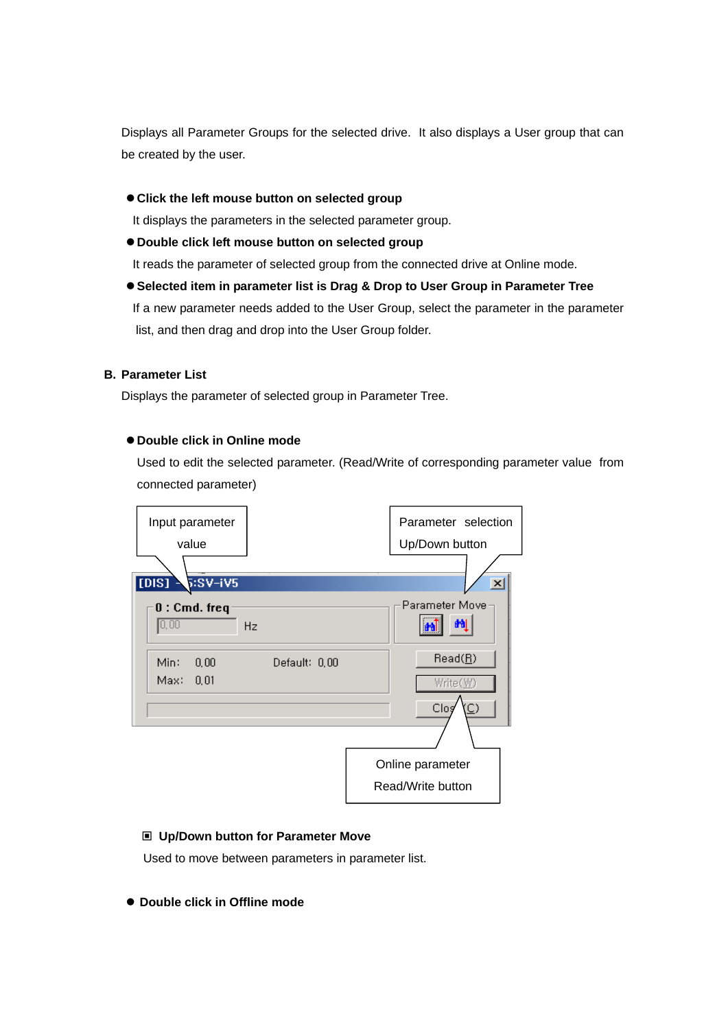Displays all Parameter Groups for the selected drive. It also displays a User group that can be created by the user.

 $\bullet$  Click the left mouse button on selected group

It displays the parameters in the selected parameter group.

 $\bullet$  Double click left mouse button on selected group

It reads the parameter of selected group from the connected drive at Online mode.

**• Selected item in parameter list is Drag & Drop to User Group in Parameter Tree** 

 If a new parameter needs added to the User Group, select the parameter in the parameter list, and then drag and drop into the User Group folder.

#### **B. Parameter List**

Displays the parameter of selected group in Parameter Tree.

#### z **Double click in Online mode**

Used to edit the selected parameter. (Read/Write of corresponding parameter value from connected parameter)



#### **Up/Down button for Parameter Move**

Used to move between parameters in parameter list.

 $\bullet$  **Double click in Offline mode**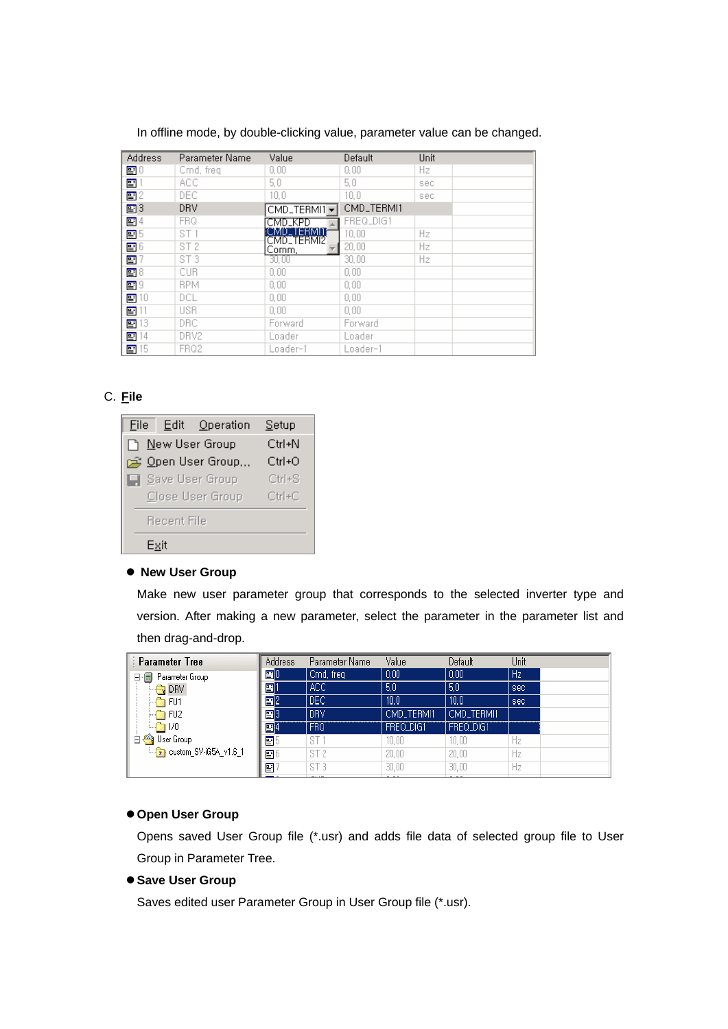| <b>Address</b>   | Parameter Name  | Value                    | Default    | Unit |
|------------------|-----------------|--------------------------|------------|------|
| 함이               | Cmd, freq.      | 0.00                     | 0,00       | Hz.  |
| 雪                | ACC.            | 5,0                      | 5,0        | sec  |
| 雪 2              | DEC.            | 10.0                     | 10.0       | sec. |
| 團3               | <b>DRV</b>      | CMD_TERMI1 -             | CMD_TERMI1 |      |
| 말 4              | <b>FRQ</b>      | OMD KPD                  | FREQ_DIG1  |      |
| <b>말</b> 5       | ST <sub>1</sub> | IMD TERMIN<br>CMD_TERMI2 | 10.00      | Hz   |
| 雪 6              | ST <sub>2</sub> | Comm.                    | 20,00      | Hz   |
| 雪                | ST <sub>3</sub> | 30,00                    | 30,00      | Hz   |
| $\mathbf{E}$ 8   | <b>CUR</b>      | 0,00                     | 0,00       |      |
| $\mathbf{F}^{9}$ | <b>RPM</b>      | 0,00                     | 0,00       |      |
| $\mathbf{E}$ 10  | DCL.            | 0,00                     | 0,00       |      |
| 畱                | <b>USR</b>      | 0,00                     | 0,00       |      |
| $\mathbf{F}$ 13  | DRC.            | Forward                  | Forward    |      |
| 雪 14             | DRV2            | Loader                   | Loader     |      |
| 雪15              | FRQ2            | Loader–1                 | Loader–1   |      |

In offline mode, by double-clicking value, parameter value can be changed.

# C. **File**

| File I | Edit Operation  |                  | Setup      |  |  |  |
|--------|-----------------|------------------|------------|--|--|--|
|        | New User Group  |                  | Ctrl+N     |  |  |  |
|        |                 | Open User Group  | $Ctrl + O$ |  |  |  |
|        | Save User Group | $Ctr[+S]$        |            |  |  |  |
|        |                 | Close User Group | $Ctrl+C$   |  |  |  |
|        | Recent File     |                  |            |  |  |  |
|        | Exit            |                  |            |  |  |  |

#### **• New User Group**

Make new user parameter group that corresponds to the selected inverter type and version. After making a new parameter, select the parameter in the parameter list and then drag-and-drop.

| <b>Parameter Tree</b>                     | <b>Address</b> | Parameter Name  | Value      | Default    | Unit           |
|-------------------------------------------|----------------|-----------------|------------|------------|----------------|
| Parameter Group<br>8-8                    | 團0             | Cmd, freq.      | 0,00       | 0,00       | H <sub>z</sub> |
| <b>DRV</b>                                | 圄              | ACC.            | 5,0        | 5,0        | sec            |
| FU1                                       | 圄2             | DEC.            | 10.0       | 10.0       | sec            |
| FU <sub>2</sub>                           | 国3             | DRV             | CMD_TERMI1 | CMD_TERMI1 |                |
| $\Box$ 1/0                                | 国4             | <b>FRQ</b>      | FREQ_DIG1  | FREQ_DIG1  |                |
| User Group                                | 평              | ST              | 10.00      | 10.00      | Hz             |
| $\frac{1.66}{1.61}$ custom SV-iG5A v1.6 1 | F              | ST <sub>2</sub> | 20,00      | 20,00      | Hz             |
|                                           | 畱              | ST <sub>3</sub> | $30,00$    | 30,00      | Hz             |

## $\bullet$  **Open User Group**

Opens saved User Group file (\*.usr) and adds file data of selected group file to User Group in Parameter Tree.

#### $\bullet$  **Save User Group**

Saves edited user Parameter Group in User Group file (\*.usr).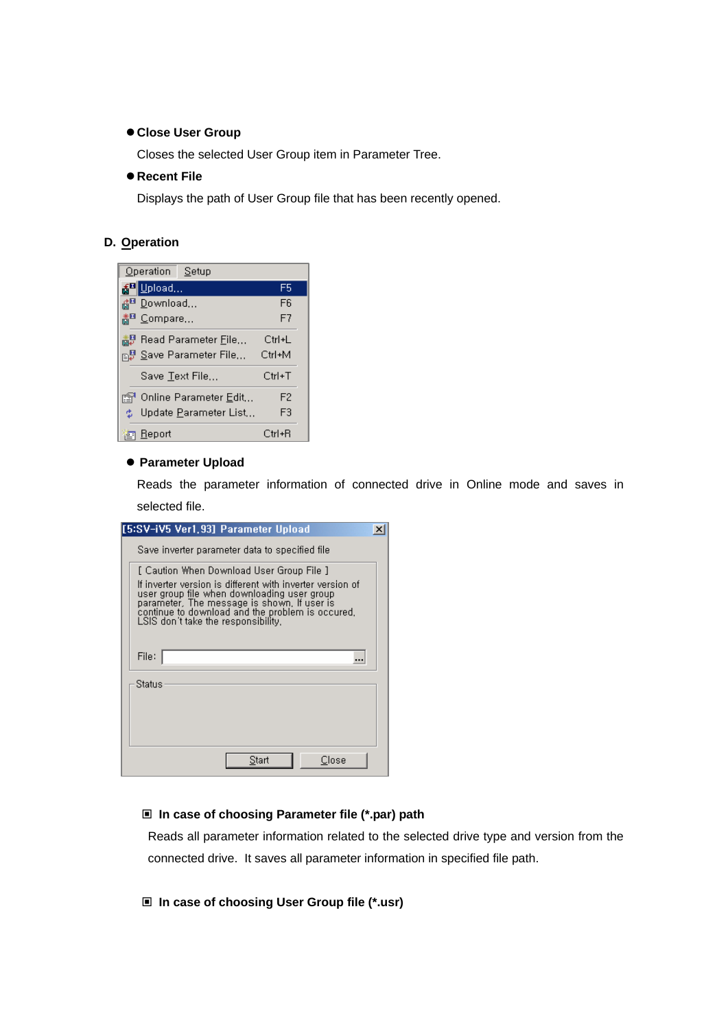#### $\bullet$  **Close User Group**

Closes the selected User Group item in Parameter Tree.

#### **• Recent File**

Displays the path of User Group file that has been recently opened.

#### **D. Operation**

| Operation Setup                    |                |
|------------------------------------|----------------|
| 종 <sup>화</sup> Upload              | F5             |
| <sub>ران</sub> i¤ <u>D</u> ownload | F <sub>6</sub> |
| 畵 <sup>■</sup> ⊆ompare…            | F7             |
| 衋】Read Parameter <u>F</u> ile…     | Ctrl+L         |
|                                    | Ctrl+M         |
| Save Text File                     | Ctrl+T         |
| r Online Parameter <u>E</u> dit,,, | F <sub>2</sub> |
| Update Parameter List<br>也。        | F3             |
| Report<br>宮                        | Ctrl+R         |

#### **• Parameter Upload**

Reads the parameter information of connected drive in Online mode and saves in selected file.

| [5:SV-iV5 Ver1,93] Parameter Upload                                                                                                                                                                                                                                                             | × |
|-------------------------------------------------------------------------------------------------------------------------------------------------------------------------------------------------------------------------------------------------------------------------------------------------|---|
| Save inverter parameter data to specified file                                                                                                                                                                                                                                                  |   |
| [ Caution When Download User Group File ]<br>If inverter version is different with inverter version of<br>user group file when downloading user group<br>parameter. The message is shown, If user is<br>continue to download and the problem is occured,<br>LSIS don't take the responsibility. |   |
| File:                                                                                                                                                                                                                                                                                           |   |
| Status                                                                                                                                                                                                                                                                                          |   |
|                                                                                                                                                                                                                                                                                                 |   |
|                                                                                                                                                                                                                                                                                                 |   |
| Close<br>Start                                                                                                                                                                                                                                                                                  |   |

## **In case of choosing Parameter file (\*.par) path**

Reads all parameter information related to the selected drive type and version from the connected drive. It saves all parameter information in specified file path.

#### **In case of choosing User Group file (\*.usr)**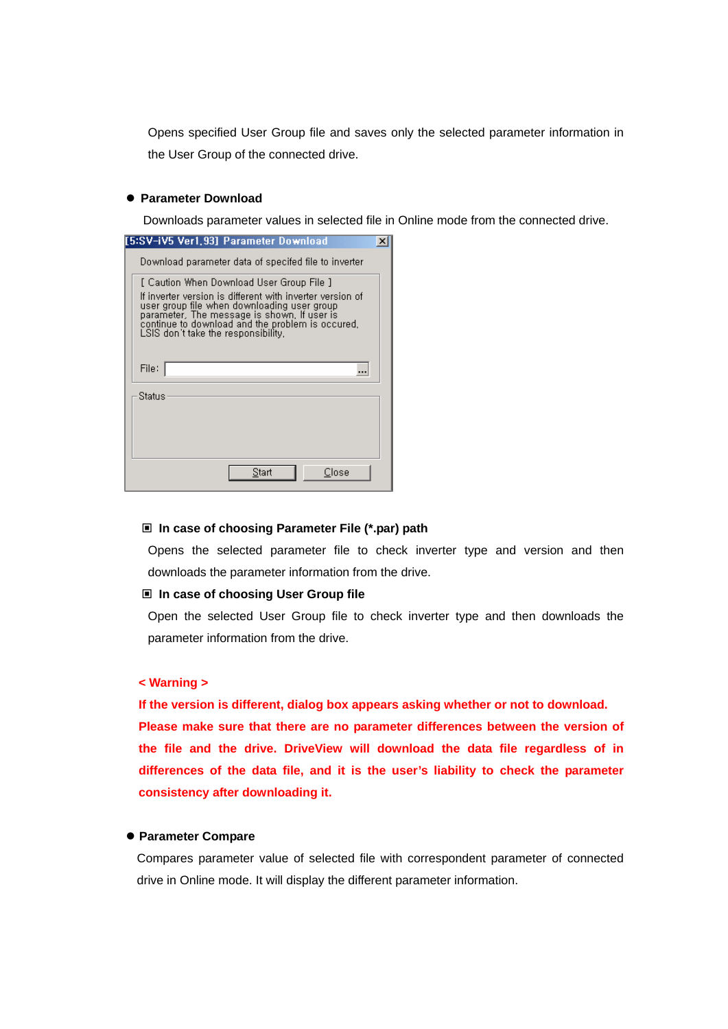Opens specified User Group file and saves only the selected parameter information in the User Group of the connected drive.

#### **• Parameter Download**

Downloads parameter values in selected file in Online mode from the connected drive.

| [5:SV-iV5 Ver1,93] Parameter Download                                                                                                                                                                                                              |  |
|----------------------------------------------------------------------------------------------------------------------------------------------------------------------------------------------------------------------------------------------------|--|
| Download parameter data of specifed file to inverter                                                                                                                                                                                               |  |
| [ Caution When Download User Group File ]                                                                                                                                                                                                          |  |
| If inverter version is different with inverter version of<br>user group file when downloading user group<br>parameter. The message is shown, If user is<br>continue to download and the problem is occured,<br>LSIS don't take the responsibility. |  |
| File:                                                                                                                                                                                                                                              |  |
| Status                                                                                                                                                                                                                                             |  |
|                                                                                                                                                                                                                                                    |  |
| Close<br>Start                                                                                                                                                                                                                                     |  |

## **In case of choosing Parameter File (\*.par) path**

Opens the selected parameter file to check inverter type and version and then downloads the parameter information from the drive.

#### **In case of choosing User Group file**

Open the selected User Group file to check inverter type and then downloads the parameter information from the drive.

#### **< Warning >**

**If the version is different, dialog box appears asking whether or not to download. Please make sure that there are no parameter differences between the version of the file and the drive. DriveView will download the data file regardless of in differences of the data file, and it is the user's liability to check the parameter consistency after downloading it.** 

## **• Parameter Compare**

Compares parameter value of selected file with correspondent parameter of connected drive in Online mode. It will display the different parameter information.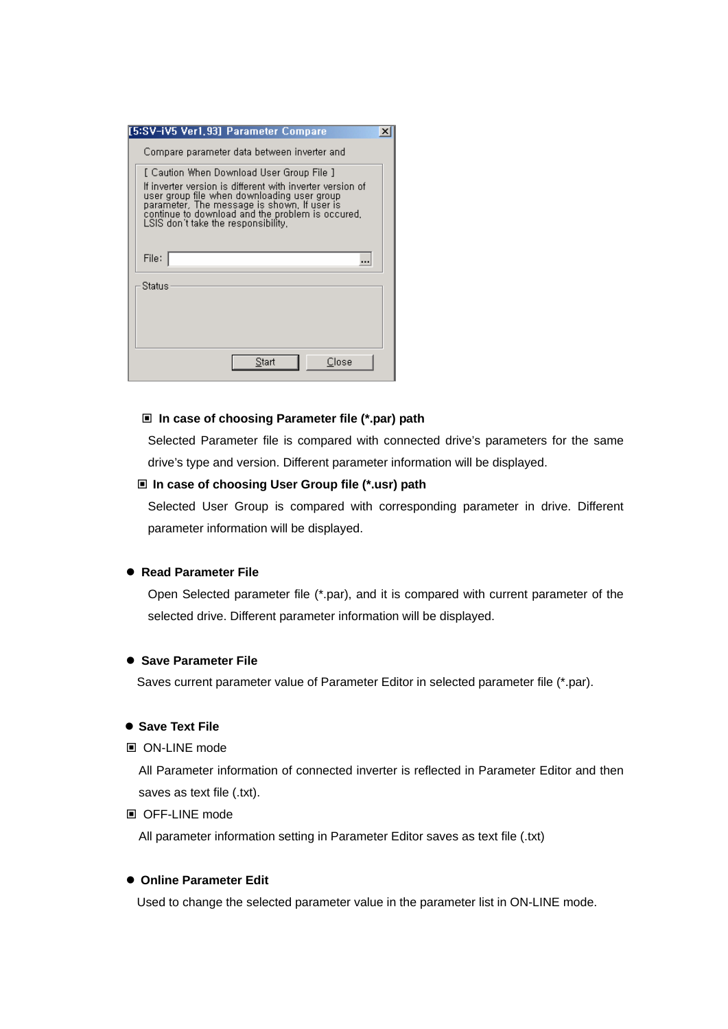| [5:SV-iV5 Ver1,93] Parameter Compare                                                                                                                                                                                                                                                            |  |
|-------------------------------------------------------------------------------------------------------------------------------------------------------------------------------------------------------------------------------------------------------------------------------------------------|--|
| Compare parameter data between inverter and                                                                                                                                                                                                                                                     |  |
| [ Caution When Download User Group File ]<br>If inverter version is different with inverter version of<br>user group file when downloading user group<br>parameter, The message is shown, If user is<br>continue to download and the problem is occured,<br>LSIS don't take the responsibility, |  |
| File:                                                                                                                                                                                                                                                                                           |  |
| Status                                                                                                                                                                                                                                                                                          |  |
|                                                                                                                                                                                                                                                                                                 |  |
| Close<br>Start                                                                                                                                                                                                                                                                                  |  |

#### **In case of choosing Parameter file (\*.par) path**

Selected Parameter file is compared with connected drive's parameters for the same drive's type and version. Different parameter information will be displayed.

#### **In case of choosing User Group file (\*.usr) path**

Selected User Group is compared with corresponding parameter in drive. Different parameter information will be displayed.

#### **• Read Parameter File**

Open Selected parameter file (\*.par), and it is compared with current parameter of the selected drive. Different parameter information will be displayed.

#### **• Save Parameter File**

Saves current parameter value of Parameter Editor in selected parameter file (\*.par).

#### $\bullet$  **Save Text File**

ON-LINE mode

All Parameter information of connected inverter is reflected in Parameter Editor and then saves as text file (.txt).

## ■ OFF-LINE mode

All parameter information setting in Parameter Editor saves as text file (.txt)

## $\bullet$  **Online Parameter Edit**

Used to change the selected parameter value in the parameter list in ON-LINE mode.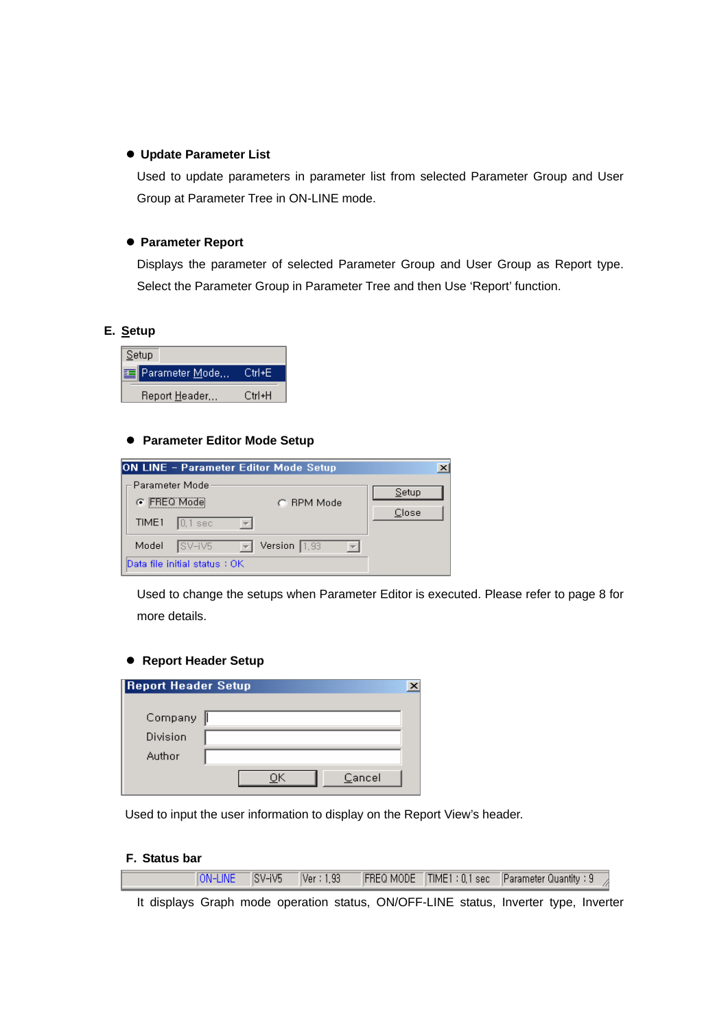#### $\bullet$  **Update Parameter List**

Used to update parameters in parameter list from selected Parameter Group and User Group at Parameter Tree in ON-LINE mode.

## **• Parameter Report**

Displays the parameter of selected Parameter Group and User Group as Report type. Select the Parameter Group in Parameter Tree and then Use 'Report' function.

# **E. Setup**



## **• Parameter Editor Mode Setup**

| ON LINE - Parameter Editor Mode Setup  |                | $\times$ |
|----------------------------------------|----------------|----------|
| – Parameter Model<br>C FREQ Mode       | C. BPM Mode    | Setup    |
| TIME1<br>$\vert 0, 1 \rangle$ sec      |                | Close    |
| Model<br>SV-iV5<br>$\vert \vert \vert$ | Version $1,93$ |          |
| Data file initial status : OK          |                |          |

Used to change the setups when Parameter Editor is executed. Please refer to page 8 for more details.

#### **• Report Header Setup**

| <b>Report Header Setup</b> |  |        |  |
|----------------------------|--|--------|--|
| Company                    |  |        |  |
| Division                   |  |        |  |
| Author                     |  |        |  |
|                            |  | Cancel |  |

Used to input the user information to display on the Report View's header.

#### **F. Status bar**

| $\sqrt{\text{ON-LINE}}$ |  |  | . SV-iV5   Ver:1,93   FREQ MODE   TIME1:0,1 sec   Parameter Quantity:9 <sub>- 2</sub> |  |
|-------------------------|--|--|---------------------------------------------------------------------------------------|--|
|                         |  |  |                                                                                       |  |

It displays Graph mode operation status, ON/OFF-LINE status, Inverter type, Inverter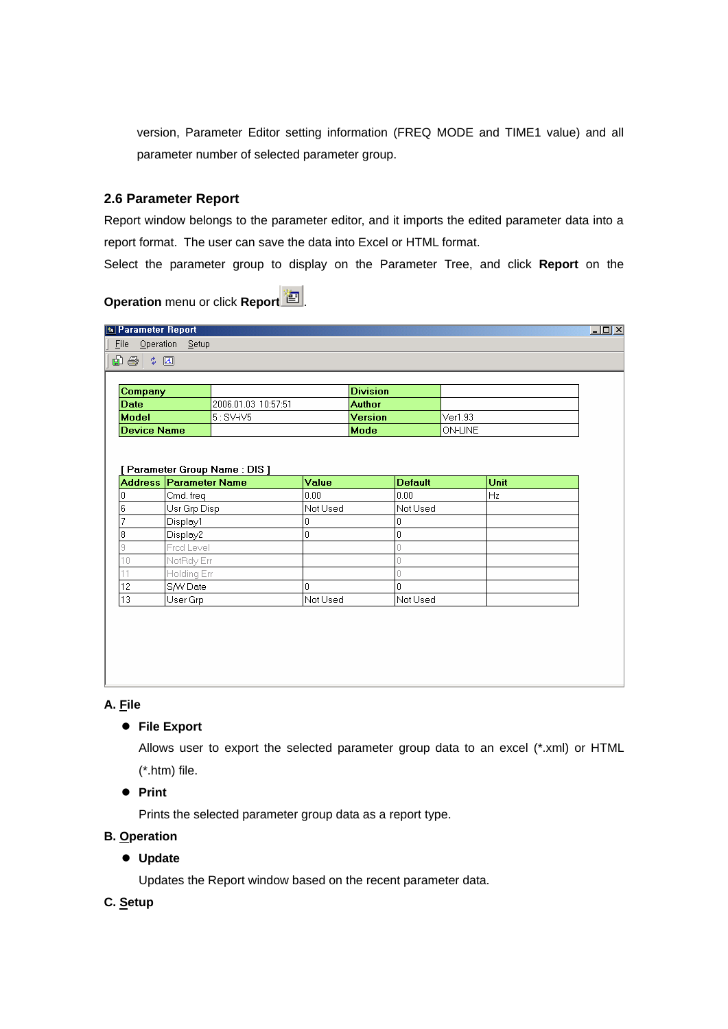version, Parameter Editor setting information (FREQ MODE and TIME1 value) and all parameter number of selected parameter group.

## **2.6 Parameter Report**

Report window belongs to the parameter editor, and it imports the edited parameter data into a report format. The user can save the data into Excel or HTML format.

Select the parameter group to display on the Parameter Tree, and click **Report** on the

# **Operation** menu or click **Report**<sup>2</sup>

| Company                                  |                        |                              |          | <b>Division</b> |                |                |      |  |
|------------------------------------------|------------------------|------------------------------|----------|-----------------|----------------|----------------|------|--|
| <b>Date</b>                              |                        | 2006.01.03 10:57:51          |          | <b>Author</b>   |                |                |      |  |
| Model                                    |                        | $5:SV-iV5$                   |          | <b>Version</b>  |                | Ver1.93        |      |  |
| <b>Device Name</b>                       |                        |                              |          | Mode            |                | <b>ON-LINE</b> |      |  |
|                                          |                        |                              |          | 0.00            |                |                |      |  |
|                                          | Address Parameter Name | Parameter Group Name : DIS ] | Value    |                 | <b>Default</b> |                | Unit |  |
| 0                                        | Cmd. freq              |                              | 0.00     |                 |                |                | Hz   |  |
|                                          |                        |                              |          |                 |                |                |      |  |
|                                          | Usr Grp Disp           |                              | Not Used |                 | Not Used       |                |      |  |
|                                          | Display1               |                              | 0        | 0               |                |                |      |  |
|                                          | Display2               |                              | 0        | 0               |                |                |      |  |
|                                          | Fred Level             |                              |          | Ū               |                |                |      |  |
| 6<br>7<br>8<br>9<br>10                   | NotRdy Err             |                              |          | Ō               |                |                |      |  |
|                                          | Holding Err            |                              |          | Ō               |                |                |      |  |
| 11<br>$\overline{12}$<br>$\overline{13}$ | S/W Date               |                              | 0        | 0               |                |                |      |  |

## **A. File**

#### **•** File Export

Allows user to export the selected parameter group data to an excel (\*.xml) or HTML (\*.htm) file.

#### z **Print**

Prints the selected parameter group data as a report type.

## **B. Operation**

## $\bullet$  Update

Updates the Report window based on the recent parameter data.

#### **C. Setup**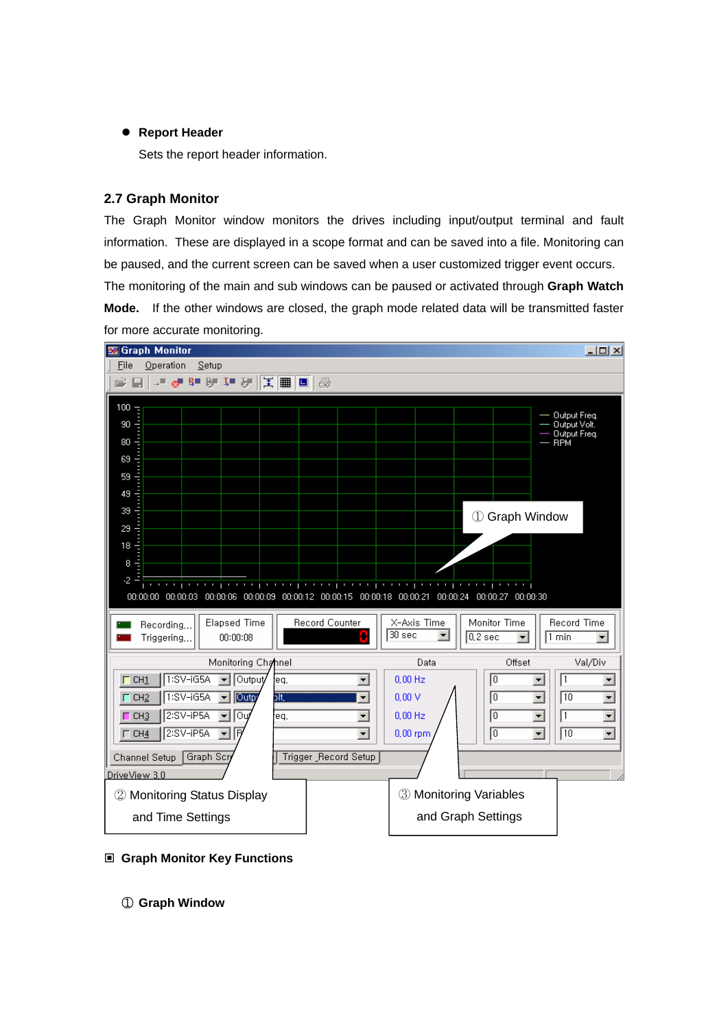#### **• Report Header**

Sets the report header information.

## **2.7 Graph Monitor**

The Graph Monitor window monitors the drives including input/output terminal and fault information. These are displayed in a scope format and can be saved into a file. Monitoring can be paused, and the current screen can be saved when a user customized trigger event occurs. The monitoring of the main and sub windows can be paused or activated through **Graph Watch Mode.** If the other windows are closed, the graph mode related data will be transmitted faster for more accurate monitoring.



- **Graph Monitor Key Functions** 
	- ① **Graph Window**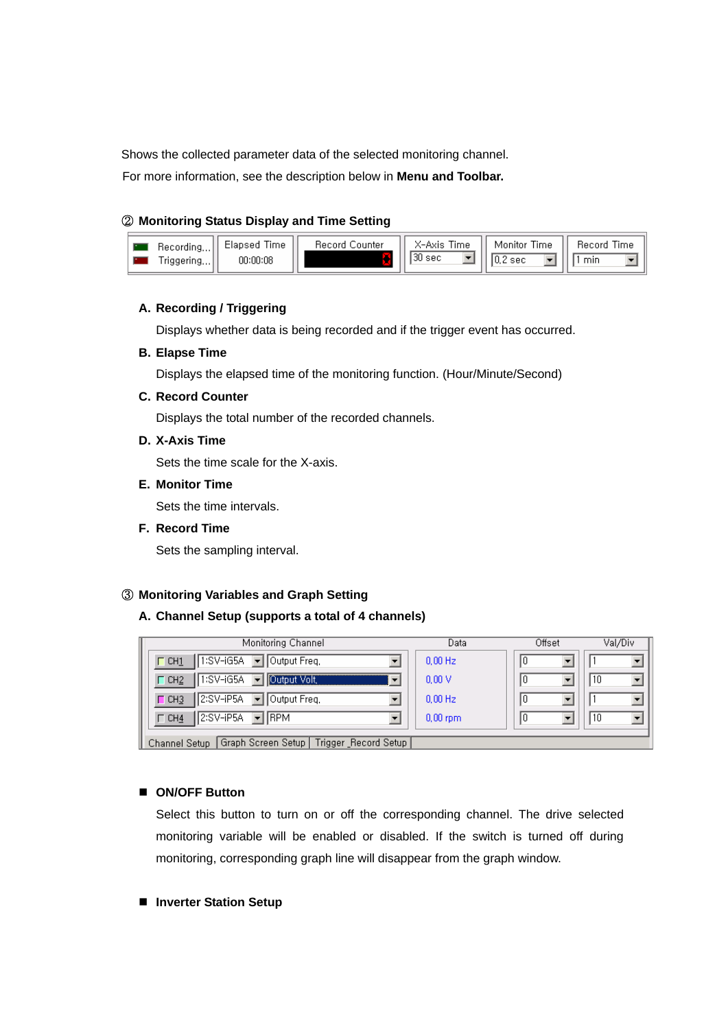Shows the collected parameter data of the selected monitoring channel.

For more information, see the description below in **Menu and Toolbar.** 

## ② **Monitoring Status Display and Time Setting**

| Hecording     | Elapsed<br>Lime | Record Counter | Time<br>X−Axis. | Time<br>Monitor | Time<br>Record |
|---------------|-----------------|----------------|-----------------|-----------------|----------------|
| $'$ riggering | 00:00:08        |                | 130 sec         | sec             | min            |

#### **A. Recording / Triggering**

Displays whether data is being recorded and if the trigger event has occurred.

#### **B. Elapse Time**

Displays the elapsed time of the monitoring function. (Hour/Minute/Second)

#### **C. Record Counter**

Displays the total number of the recorded channels.

## **D. X-Axis Time**

Sets the time scale for the X-axis.

#### **E. Monitor Time**

Sets the time intervals.

**F. Record Time** 

Sets the sampling interval.

## ③ **Monitoring Variables and Graph Setting**

#### **A. Channel Setup (supports a total of 4 channels)**

| Monitoring Channel                                                    | Data        | Offset | Val/Div |
|-----------------------------------------------------------------------|-------------|--------|---------|
| $1:SV-iG5A$ $\rightarrow$<br>Output Freq.<br>$\Gamma$ CH1             | $0.00$ Hz   |        |         |
| Output Volt,<br>1:SV-iG5A<br>$\Gamma$ CH <sub>2</sub>                 | 0.00V       | O      | 10      |
| 2:SV-iP5A<br><b>Output Freq.</b><br>$\vert$<br>$\Box$ CH <sub>3</sub> | $0.00$ Hz   | U      |         |
| $\blacktriangleright$   RPM<br>2:SV-iP5A<br>$\Gamma$ CH4              | $0,00$ rpm. |        | 10      |
| LGraph Screen Setun L Trigger, Becord Setun L<br>Channel Setun I      |             |        |         |

#### **ON/OFF Button**

Select this button to turn on or off the corresponding channel. The drive selected monitoring variable will be enabled or disabled. If the switch is turned off during monitoring, corresponding graph line will disappear from the graph window.

#### **Inverter Station Setup**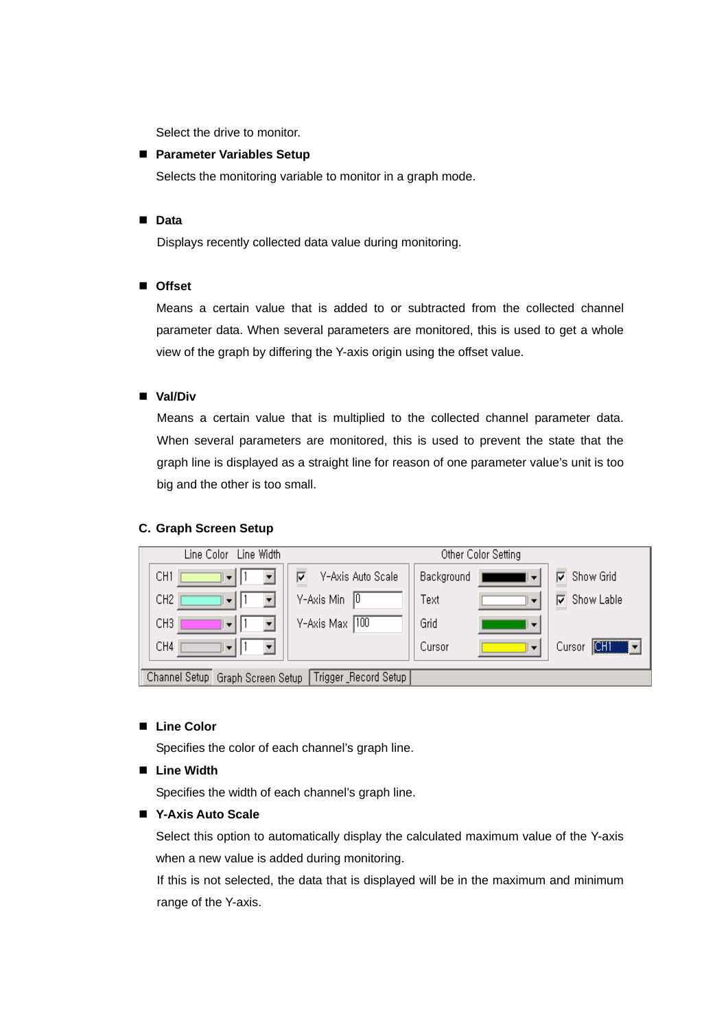Select the drive to monitor.

## **Parameter Variables Setup**

Selects the monitoring variable to monitor in a graph mode.

#### **Data**

Displays recently collected data value during monitoring.

#### **Offset**

Means a certain value that is added to or subtracted from the collected channel parameter data. When several parameters are monitored, this is used to get a whole view of the graph by differing the Y-axis origin using the offset value.

## **Val/Div**

Means a certain value that is multiplied to the collected channel parameter data. When several parameters are monitored, this is used to prevent the state that the graph line is displayed as a straight line for reason of one parameter value's unit is too big and the other is too small.

#### **C. Graph Screen Setup**

| Line Width<br>Line Color                   |                        |            | Other Color Setting      |                 |
|--------------------------------------------|------------------------|------------|--------------------------|-----------------|
| CH <sub>1</sub><br>▚▼⊾                     | Y-Axis Auto Scale<br>⊽ | Background |                          | Show Grid<br>╔  |
| CH <sub>2</sub><br>$\blacktriangledown$    | Y-Axis Min<br>- 10     | Text       |                          | Show Lable<br>╔ |
| CH <sub>3</sub><br>$\overline{\mathbf{v}}$ | Y-Axis Max 100         | Grid       | $\overline{\phantom{a}}$ |                 |
| CH4<br>$\overline{\mathbf{v}}$             |                        | Cursor     | $\overline{\mathbf{v}}$  | CHI<br>Cursor   |
| Channel Setup Graph Screen Setup           | Trigger Record Setup   |            |                          |                 |

#### **Line Color**

Specifies the color of each channel's graph line.

#### **Line Width**

Specifies the width of each channel's graph line.

#### **Y-Axis Auto Scale**

Select this option to automatically display the calculated maximum value of the Y-axis when a new value is added during monitoring.

If this is not selected, the data that is displayed will be in the maximum and minimum range of the Y-axis.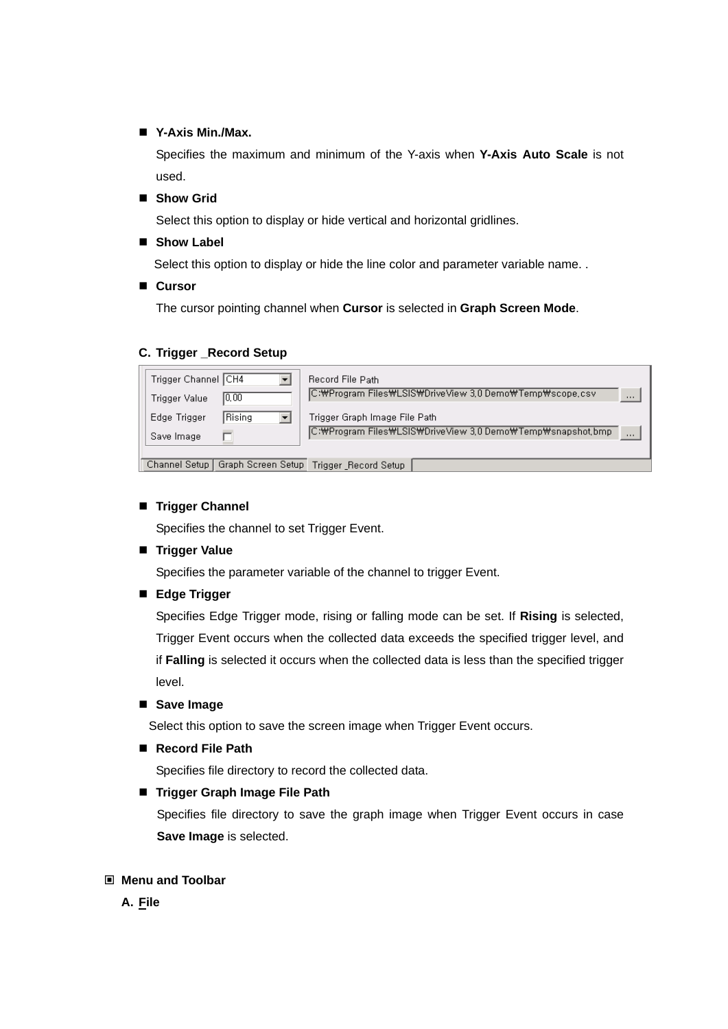## **Y-Axis Min./Max.**

Specifies the maximum and minimum of the Y-axis when **Y-Axis Auto Scale** is not used.

**Show Grid** 

Select this option to display or hide vertical and horizontal gridlines.

■ Show Label

Select this option to display or hide the line color and parameter variable name. .

**Cursor** 

The cursor pointing channel when **Cursor** is selected in **Graph Screen Mode**.

#### **C. Trigger \_Record Setup**

| Trigger Channel CH4 |               | Record File Path                                                    |
|---------------------|---------------|---------------------------------------------------------------------|
| Trigger Value       | 0,00          | C:\Program Files\LSIS\DriveView 3,0 Demo\Temp\scope.csv<br>$\cdots$ |
| Edge Trigger        | <b>Rising</b> | Trigger Graph Image File Path                                       |
| Save Image          |               | C:\Program Files\LSIS\DriveView 3,0 Demo\Temp\snapshot,bmp<br>      |
|                     |               |                                                                     |
|                     |               | Channel Setup   Graph Screen Setup   Trigger _Record Setup          |

#### **Trigger Channel**

Specifies the channel to set Trigger Event.

**Trigger Value** 

Specifies the parameter variable of the channel to trigger Event.

**Edge Trigger** 

Specifies Edge Trigger mode, rising or falling mode can be set. If **Rising** is selected, Trigger Event occurs when the collected data exceeds the specified trigger level, and if **Falling** is selected it occurs when the collected data is less than the specified trigger level.

**Save Image** 

Select this option to save the screen image when Trigger Event occurs.

■ Record File Path

Specifies file directory to record the collected data.

#### **Trigger Graph Image File Path**

Specifies file directory to save the graph image when Trigger Event occurs in case **Save Image** is selected.

#### **Menu and Toolbar**

**A. File**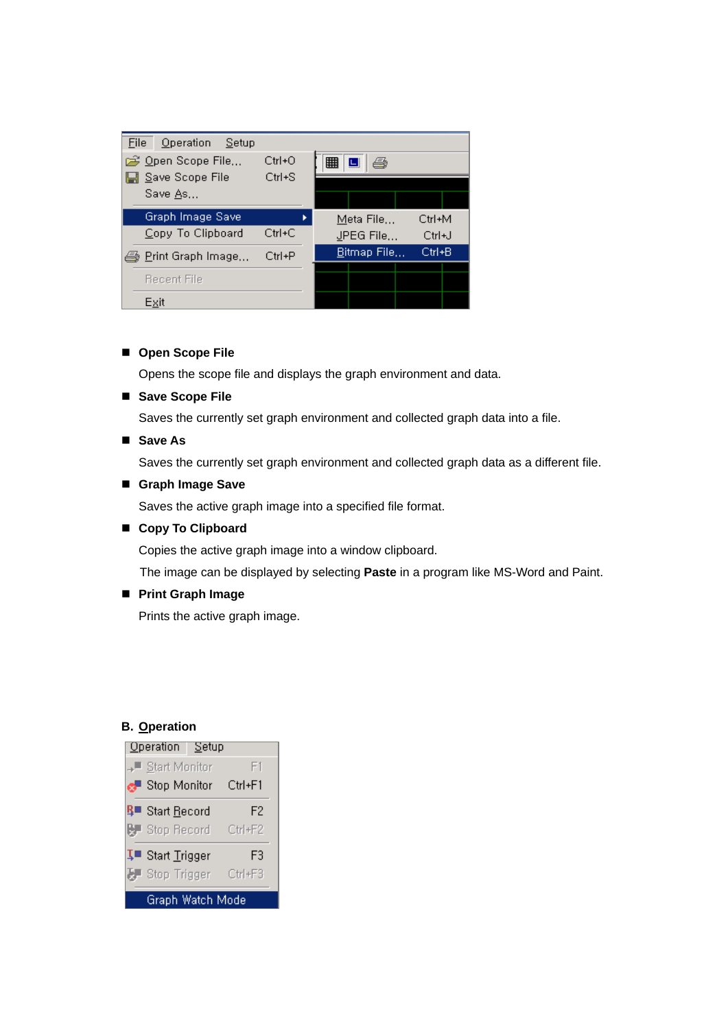| File | Operation Setup             |            |  |                      |           |        |  |
|------|-----------------------------|------------|--|----------------------|-----------|--------|--|
|      | p⇒ Open Scope File          | $Ctrl + O$ |  | 雦                    | ê         |        |  |
|      | L Save Scope File           | $Ctrl + S$ |  |                      |           |        |  |
|      | Save As                     |            |  |                      |           |        |  |
|      |                             |            |  |                      |           |        |  |
|      | Graph Image Save            |            |  |                      | Meta File | Ctrl+M |  |
|      | Copy To Clipboard           | $Ctrl+C$   |  |                      | JPEG File | Ctrl+J |  |
|      | <i>é</i> Print Graph Image, | $Ctrl + P$ |  | <u>B</u> itmap File… |           | Ctrl+B |  |
|      |                             |            |  |                      |           |        |  |
|      | Recent File                 |            |  |                      |           |        |  |
|      | Exit                        |            |  |                      |           |        |  |

#### ■ Open Scope File

Opens the scope file and displays the graph environment and data.

# ■ Save Scope File

Saves the currently set graph environment and collected graph data into a file.

## ■ Save As

Saves the currently set graph environment and collected graph data as a different file.

#### **Graph Image Save**

Saves the active graph image into a specified file format.

#### **Copy To Clipboard**

Copies the active graph image into a window clipboard.

The image can be displayed by selecting **Paste** in a program like MS-Word and Paint.

#### **Print Graph Image**

Prints the active graph image.

#### **B. Operation**

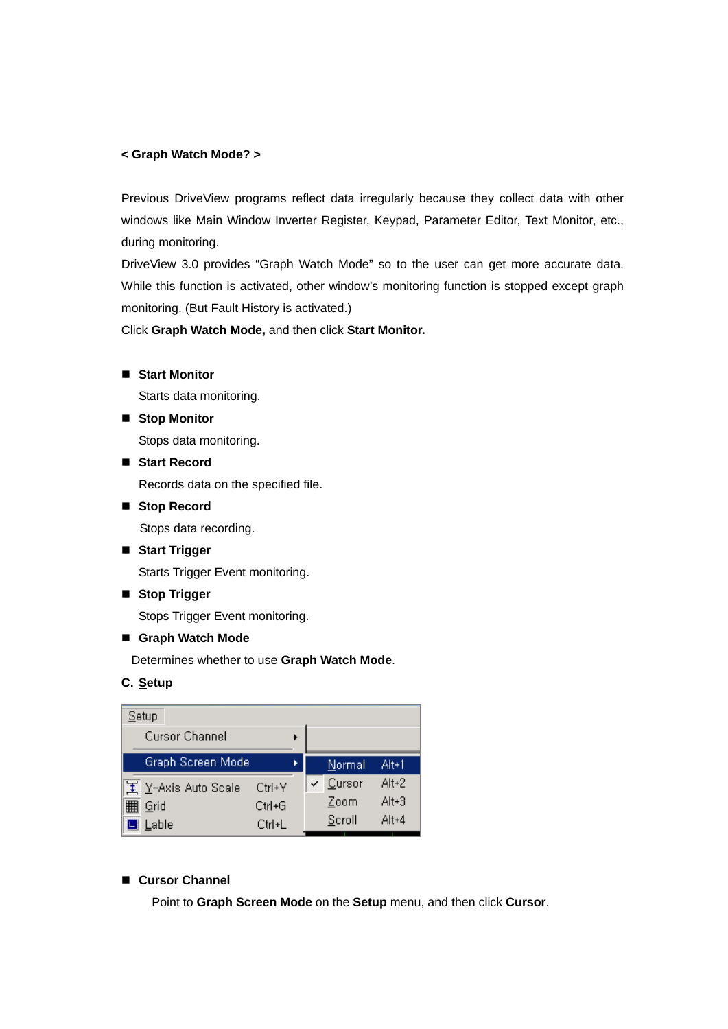#### **< Graph Watch Mode? >**

Previous DriveView programs reflect data irregularly because they collect data with other windows like Main Window Inverter Register, Keypad, Parameter Editor, Text Monitor, etc., during monitoring.

DriveView 3.0 provides "Graph Watch Mode" so to the user can get more accurate data. While this function is activated, other window's monitoring function is stopped except graph monitoring. (But Fault History is activated.)

Click **Graph Watch Mode,** and then click **Start Monitor.**

**Start Monitor** 

Starts data monitoring.

■ Stop Monitor

Stops data monitoring.

**Start Record** 

Records data on the specified file.

■ Stop Record

Stops data recording.

**Start Trigger** 

Starts Trigger Event monitoring.

**Stop Trigger** 

Stops Trigger Event monitoring.

# **Graph Watch Mode**

Determines whether to use **Graph Watch Mode**.

# **C. Setup**



# **Cursor Channel**

Point to **Graph Screen Mode** on the **Setup** menu, and then click **Cursor**.